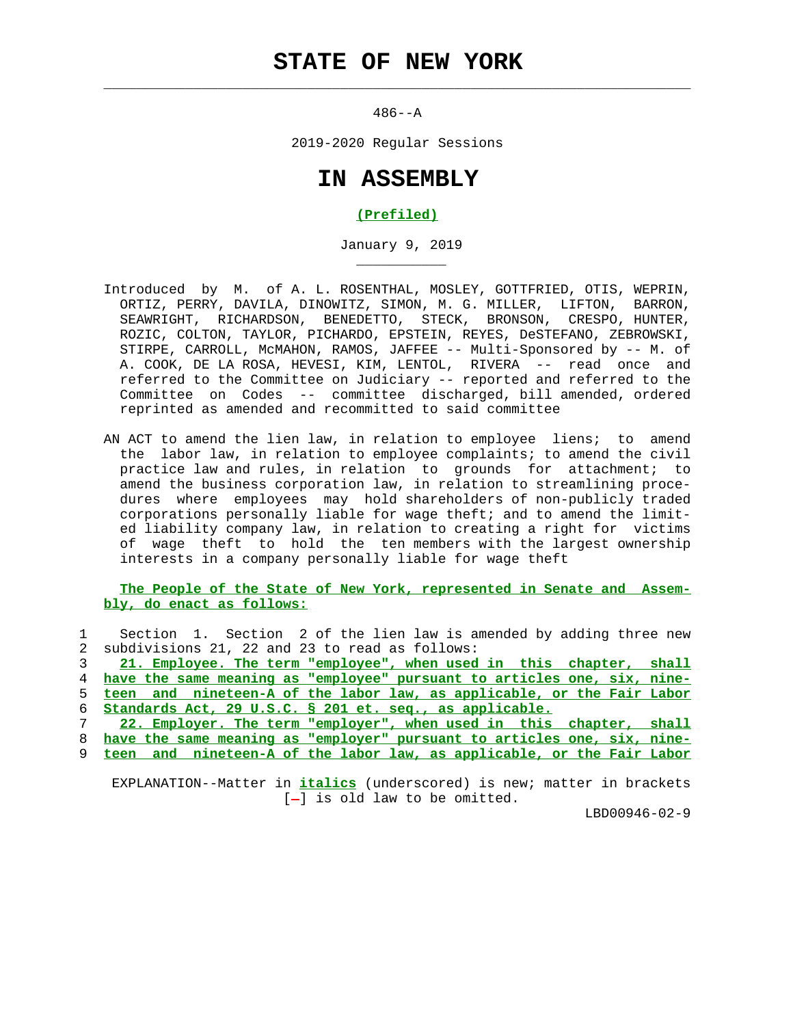## **STATE OF NEW YORK**

 $\mathcal{L}_\text{max} = \frac{1}{2} \sum_{i=1}^{n} \frac{1}{2} \sum_{i=1}^{n} \frac{1}{2} \sum_{i=1}^{n} \frac{1}{2} \sum_{i=1}^{n} \frac{1}{2} \sum_{i=1}^{n} \frac{1}{2} \sum_{i=1}^{n} \frac{1}{2} \sum_{i=1}^{n} \frac{1}{2} \sum_{i=1}^{n} \frac{1}{2} \sum_{i=1}^{n} \frac{1}{2} \sum_{i=1}^{n} \frac{1}{2} \sum_{i=1}^{n} \frac{1}{2} \sum_{i=1}^{n} \frac{1$ 

\_\_\_\_\_\_\_\_\_\_\_

 $486 - -A$ 

2019-2020 Regular Sessions

## **IN ASSEMBLY**

## **(Prefiled)**

January 9, 2019

- Introduced by M. of A. L. ROSENTHAL, MOSLEY, GOTTFRIED, OTIS, WEPRIN, ORTIZ, PERRY, DAVILA, DINOWITZ, SIMON, M. G. MILLER, LIFTON, BARRON, SEAWRIGHT, RICHARDSON, BENEDETTO, STECK, BRONSON, CRESPO, HUNTER, ROZIC, COLTON, TAYLOR, PICHARDO, EPSTEIN, REYES, DeSTEFANO, ZEBROWSKI, STIRPE, CARROLL, McMAHON, RAMOS, JAFFEE -- Multi-Sponsored by -- M. of A. COOK, DE LA ROSA, HEVESI, KIM, LENTOL, RIVERA -- read once and referred to the Committee on Judiciary -- reported and referred to the Committee on Codes -- committee discharged, bill amended, ordered reprinted as amended and recommitted to said committee
- AN ACT to amend the lien law, in relation to employee liens; to amend the labor law, in relation to employee complaints; to amend the civil practice law and rules, in relation to grounds for attachment; to amend the business corporation law, in relation to streamlining proce dures where employees may hold shareholders of non-publicly traded corporations personally liable for wage theft; and to amend the limit ed liability company law, in relation to creating a right for victims of wage theft to hold the ten members with the largest ownership interests in a company personally liable for wage theft

 **The People of the State of New York, represented in Senate and Assem bly, do enact as follows:**

 1 Section 1. Section 2 of the lien law is amended by adding three new 2 subdivisions 21, 22 and 23 to read as follows:

**21. Employee. The term "employee", when used in this chapter, shall have the same meaning as "employee" pursuant to articles one, six, nine- teen and nineteen-A of the labor law, as applicable, or the Fair Labor Standards Act, 29 U.S.C. § 201 et. seq., as applicable.**

 7 **22. Employer. The term "employer", when used in this chapter, shall** 8 **have the same meaning as "employer" pursuant to articles one, six, nine-**

9 **teen and nineteen-A of the labor law, as applicable, or the Fair Labor**

 EXPLANATION--Matter in **italics** (underscored) is new; matter in brackets  $[-]$  is old law to be omitted.

LBD00946-02-9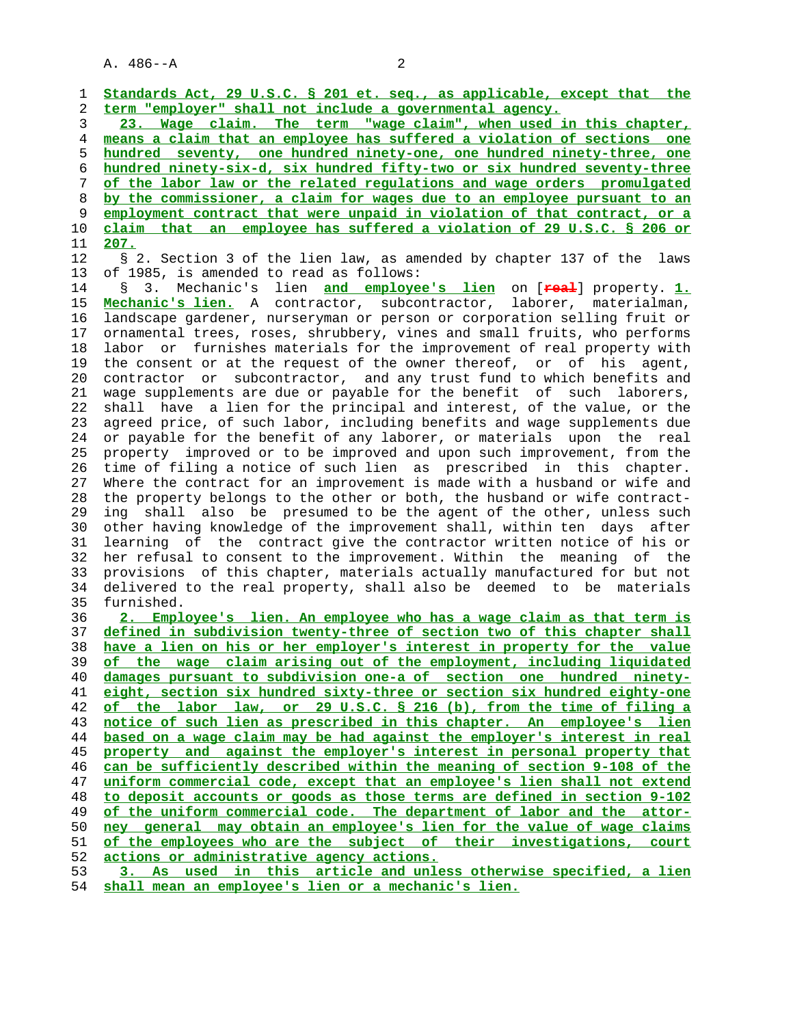| 1              | Standards Act, 29 U.S.C. § 201 et. seq., as applicable, except that the                                                                         |
|----------------|-------------------------------------------------------------------------------------------------------------------------------------------------|
| $\overline{c}$ | term "employer" shall not include a governmental agency.                                                                                        |
| 3              | 23. Wage claim. The term "wage claim", when used in this chapter,                                                                               |
| $\overline{4}$ | means a claim that an employee has suffered a violation of sections one                                                                         |
| 5              | hundred seventy, one hundred ninety-one, one hundred ninety-three, one                                                                          |
| 6              | hundred ninety-six-d, six hundred fifty-two or six hundred seventy-three                                                                        |
| 7              | of the labor law or the related requlations and wage orders promulgated                                                                         |
| 8              | by the commissioner, a claim for wages due to an employee pursuant to an                                                                        |
| 9              | employment contract that were unpaid in violation of that contract, or a                                                                        |
| 10             | claim that an employee has suffered a violation of 29 U.S.C. § 206 or                                                                           |
| 11             | <u>207.</u>                                                                                                                                     |
| 12             | § 2. Section 3 of the lien law, as amended by chapter 137 of the<br>laws                                                                        |
| 13             | of 1985, is amended to read as follows:                                                                                                         |
| 14             | Mechanic's lien and employee's lien on [real] property. 1.<br>3.<br>g                                                                           |
| 15             | Mechanic's lien. A contractor, subcontractor, laborer, materialman,                                                                             |
| 16             | landscape gardener, nurseryman or person or corporation selling fruit or                                                                        |
| 17             | ornamental trees, roses, shrubbery, vines and small fruits, who performs                                                                        |
| 18             | labor or furnishes materials for the improvement of real property with                                                                          |
| 19             | the consent or at the request of the owner thereof, or of his agent,                                                                            |
| 20             | contractor or subcontractor, and any trust fund to which benefits and                                                                           |
| 21             | wage supplements are due or payable for the benefit of such laborers,                                                                           |
| 22             | shall have a lien for the principal and interest, of the value, or the                                                                          |
| 23             | agreed price, of such labor, including benefits and wage supplements due                                                                        |
| 24             | or payable for the benefit of any laborer, or materials upon the real                                                                           |
| 25             | property improved or to be improved and upon such improvement, from the                                                                         |
| 26             | time of filing a notice of such lien as prescribed in this chapter.                                                                             |
| 27             | Where the contract for an improvement is made with a husband or wife and                                                                        |
| 28             | the property belongs to the other or both, the husband or wife contract-                                                                        |
| 29             | shall also be presumed to be the agent of the other, unless such<br>ing                                                                         |
| 30             | other having knowledge of the improvement shall, within ten days after                                                                          |
| 31             | learning of the contract give the contractor written notice of his or                                                                           |
| 32             | her refusal to consent to the improvement. Within the meaning of the                                                                            |
| 33<br>34       | provisions of this chapter, materials actually manufactured for but not<br>delivered to the real property, shall also be deemed to be materials |
| 35             | furnished.                                                                                                                                      |
| 36             | 2. Employee's lien. An employee who has a wage claim as that term is                                                                            |
| 37             | defined in subdivision twenty-three of section two of this chapter shall                                                                        |
| 38             | have a lien on his or her employer's interest in property for the value                                                                         |
| 39             | of the wage claim arising out of the employment, including liquidated                                                                           |
| 40             | damages pursuant to subdivision one-a of section one hundred ninety-                                                                            |
| 41             | eight, section six hundred sixty-three or section six hundred eighty-one                                                                        |
| 42             | of the labor law, or 29 U.S.C. § 216 (b), from the time of filing a                                                                             |
| 43             | notice of such lien as prescribed in this chapter. An employee's lien                                                                           |
| 44             | based on a wage claim may be had against the employer's interest in real                                                                        |
| 45             | property and against the employer's interest in personal property that                                                                          |
| 46             | can be sufficiently described within the meaning of section 9-108 of the                                                                        |
| 47             | uniform commercial code, except that an employee's lien shall not extend                                                                        |
| 48             | to deposit accounts or goods as those terms are defined in section 9-102                                                                        |
| 49             | of the uniform commercial code. The department of labor and the attor-                                                                          |
| 50             | ney general may obtain an employee's lien for the value of wage claims                                                                          |
| 51             | of the employees who are the subject of their investigations, court                                                                             |
| 52             | actions or administrative agency actions.                                                                                                       |
| 53             | 3. As used in this article and unless otherwise specified, a lien                                                                               |
| 54             | shall mean an employee's lien or a mechanic's lien.                                                                                             |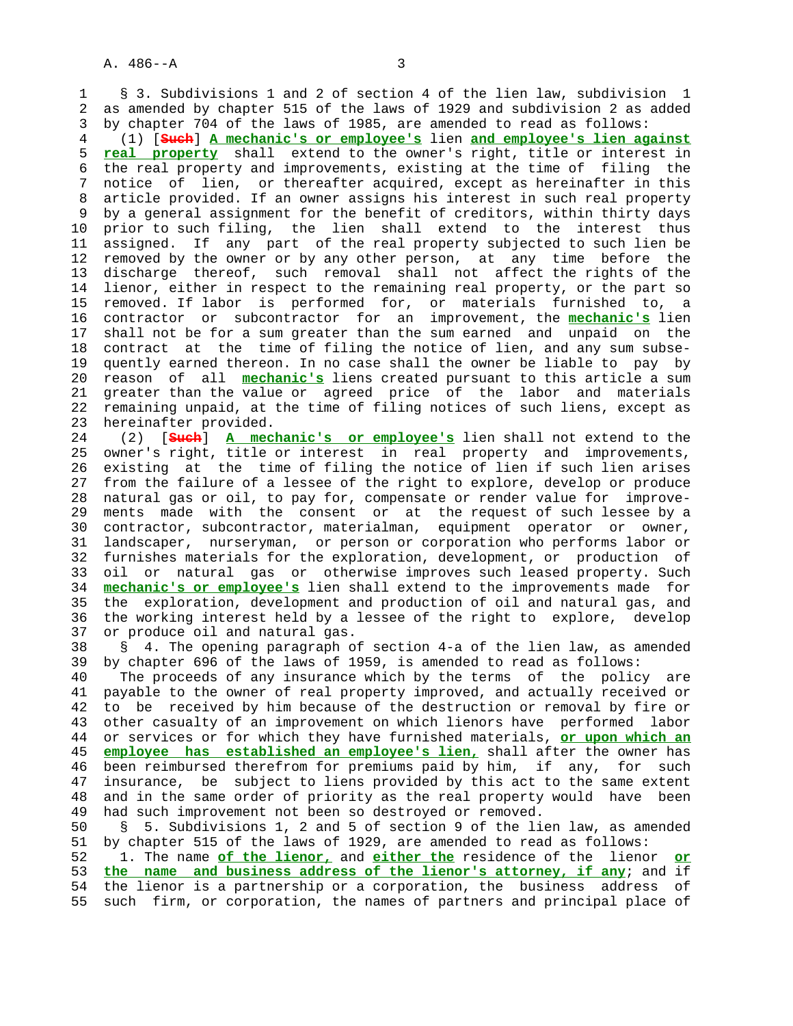1 § 3. Subdivisions 1 and 2 of section 4 of the lien law, subdivision 1 2 as amended by chapter 515 of the laws of 1929 and subdivision 2 as added 3 by chapter 704 of the laws of 1985, are amended to read as follows:

 4 (1) [**Such**] **A mechanic's or employee's** lien **and employee's lien against** 5 **real property** shall extend to the owner's right, title or interest in 6 the real property and improvements, existing at the time of filing the 7 notice of lien, or thereafter acquired, except as hereinafter in this 8 article provided. If an owner assigns his interest in such real property 9 by a general assignment for the benefit of creditors, within thirty days 10 prior to such filing, the lien shall extend to the interest thus 11 assigned. If any part of the real property subjected to such lien be 12 removed by the owner or by any other person, at any time before the 13 discharge thereof, such removal shall not affect the rights of the 14 lienor, either in respect to the remaining real property, or the part so 15 removed. If labor is performed for, or materials furnished to, a 16 contractor or subcontractor for an improvement, the **mechanic's** lien 17 shall not be for a sum greater than the sum earned and unpaid on the 18 contract at the time of filing the notice of lien, and any sum subse- 19 quently earned thereon. In no case shall the owner be liable to pay by 20 reason of all **mechanic's** liens created pursuant to this article a sum 21 greater than the value or agreed price of the labor and materials 22 remaining unpaid, at the time of filing notices of such liens, except as 23 hereinafter provided.

 24 (2) [**Such**] **A mechanic's or employee's** lien shall not extend to the 25 owner's right, title or interest in real property and improvements, 26 existing at the time of filing the notice of lien if such lien arises 27 from the failure of a lessee of the right to explore, develop or produce 28 natural gas or oil, to pay for, compensate or render value for improve- 29 ments made with the consent or at the request of such lessee by a 30 contractor, subcontractor, materialman, equipment operator or owner, 31 landscaper, nurseryman, or person or corporation who performs labor or 32 furnishes materials for the exploration, development, or production of 33 oil or natural gas or otherwise improves such leased property. Such 34 **mechanic's or employee's** lien shall extend to the improvements made for 35 the exploration, development and production of oil and natural gas, and 36 the working interest held by a lessee of the right to explore, develop 37 or produce oil and natural gas.

 38 § 4. The opening paragraph of section 4-a of the lien law, as amended 39 by chapter 696 of the laws of 1959, is amended to read as follows:

 40 The proceeds of any insurance which by the terms of the policy are 41 payable to the owner of real property improved, and actually received or 42 to be received by him because of the destruction or removal by fire or 43 other casualty of an improvement on which lienors have performed labor 44 or services or for which they have furnished materials, **or upon which an** 45 **employee has established an employee's lien,** shall after the owner has 46 been reimbursed therefrom for premiums paid by him, if any, for such 47 insurance, be subject to liens provided by this act to the same extent 48 and in the same order of priority as the real property would have been 49 had such improvement not been so destroyed or removed.

 50 § 5. Subdivisions 1, 2 and 5 of section 9 of the lien law, as amended 51 by chapter 515 of the laws of 1929, are amended to read as follows:

 52 1. The name **of the lienor,** and **either the** residence of the lienor **or** 53 **the name and business address of the lienor's attorney, if any**; and if 54 the lienor is a partnership or a corporation, the business address of 55 such firm, or corporation, the names of partners and principal place of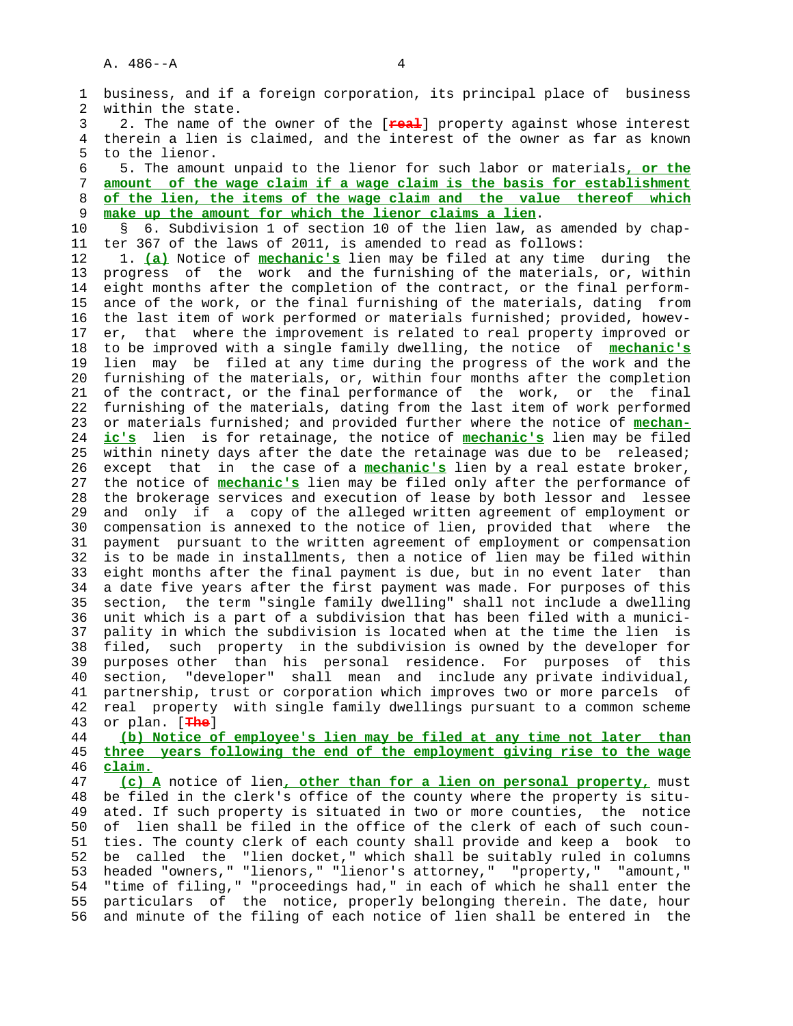1 business, and if a foreign corporation, its principal place of business 2 within the state. 3 2. The name of the owner of the [**real**] property against whose interest 4 therein a lien is claimed, and the interest of the owner as far as known 5 to the lienor. 6 5. The amount unpaid to the lienor for such labor or materials**, or the** 7 **amount of the wage claim if a wage claim is the basis for establishment** 8 **of the lien, the items of the wage claim and the value thereof which** make up the amount for which the lienor claims a lien. 10 § 6. Subdivision 1 of section 10 of the lien law, as amended by chap- 11 ter 367 of the laws of 2011, is amended to read as follows: 12 1. **(a)** Notice of **mechanic's** lien may be filed at any time during the 13 progress of the work and the furnishing of the materials, or, within 14 eight months after the completion of the contract, or the final perform- 15 ance of the work, or the final furnishing of the materials, dating from 16 the last item of work performed or materials furnished; provided, howev- 17 er, that where the improvement is related to real property improved or 18 to be improved with a single family dwelling, the notice of **mechanic's** 19 lien may be filed at any time during the progress of the work and the 20 furnishing of the materials, or, within four months after the completion 21 of the contract, or the final performance of the work, or the final 22 furnishing of the materials, dating from the last item of work performed 23 or materials furnished; and provided further where the notice of **mechan-** 24 **ic's** lien is for retainage, the notice of **mechanic's** lien may be filed 25 within ninety days after the date the retainage was due to be released; 26 except that in the case of a **mechanic's** lien by a real estate broker, 27 the notice of **mechanic's** lien may be filed only after the performance of 28 the brokerage services and execution of lease by both lessor and lessee 29 and only if a copy of the alleged written agreement of employment or 30 compensation is annexed to the notice of lien, provided that where the 31 payment pursuant to the written agreement of employment or compensation 32 is to be made in installments, then a notice of lien may be filed within 33 eight months after the final payment is due, but in no event later than 34 a date five years after the first payment was made. For purposes of this 35 section, the term "single family dwelling" shall not include a dwelling 36 unit which is a part of a subdivision that has been filed with a munici- 37 pality in which the subdivision is located when at the time the lien is 38 filed, such property in the subdivision is owned by the developer for 39 purposes other than his personal residence. For purposes of this 40 section, "developer" shall mean and include any private individual, 41 partnership, trust or corporation which improves two or more parcels of 42 real property with single family dwellings pursuant to a common scheme 43 or plan. [**The**] 44 **(b) Notice of employee's lien may be filed at any time not later than** 45 **three years following the end of the employment giving rise to the wage** 46 **claim.** 47 **(c) A** notice of lien**, other than for a lien on personal property,** must 48 be filed in the clerk's office of the county where the property is situ- 49 ated. If such property is situated in two or more counties, the notice 50 of lien shall be filed in the office of the clerk of each of such coun- 51 ties. The county clerk of each county shall provide and keep a book to 52 be called the "lien docket," which shall be suitably ruled in columns 53 headed "owners," "lienors," "lienor's attorney," "property," "amount," 54 "time of filing," "proceedings had," in each of which he shall enter the 55 particulars of the notice, properly belonging therein. The date, hour 56 and minute of the filing of each notice of lien shall be entered in the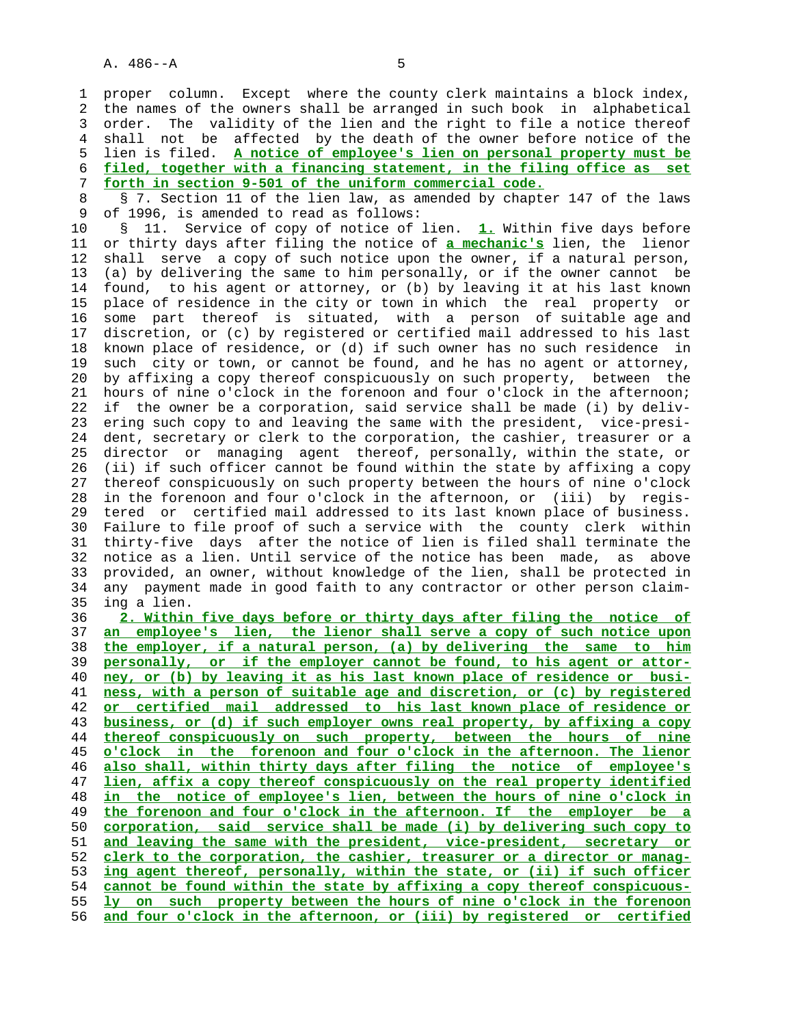1 proper column. Except where the county clerk maintains a block index, 2 the names of the owners shall be arranged in such book in alphabetical 3 order. The validity of the lien and the right to file a notice thereof 4 shall not be affected by the death of the owner before notice of the 5 lien is filed. **A notice of employee's lien on personal property must be** 6 **filed, together with a financing statement, in the filing office as set** 7 **forth in section 9-501 of the uniform commercial code.**

8 § 7. Section 11 of the lien law, as amended by chapter 147 of the laws<br>9 of 1996, is amended to read as follows: of 1996, is amended to read as follows:

 10 § 11. Service of copy of notice of lien. **1.** Within five days before 11 or thirty days after filing the notice of **a mechanic's** lien, the lienor 12 shall serve a copy of such notice upon the owner, if a natural person, 13 (a) by delivering the same to him personally, or if the owner cannot be 14 found, to his agent or attorney, or (b) by leaving it at his last known 15 place of residence in the city or town in which the real property or 16 some part thereof is situated, with a person of suitable age and 17 discretion, or (c) by registered or certified mail addressed to his last 18 known place of residence, or (d) if such owner has no such residence in 19 such city or town, or cannot be found, and he has no agent or attorney, 20 by affixing a copy thereof conspicuously on such property, between the 21 hours of nine o'clock in the forenoon and four o'clock in the afternoon; 22 if the owner be a corporation, said service shall be made (i) by deliv- 23 ering such copy to and leaving the same with the president, vice-presi- 24 dent, secretary or clerk to the corporation, the cashier, treasurer or a 25 director or managing agent thereof, personally, within the state, or 26 (ii) if such officer cannot be found within the state by affixing a copy 27 thereof conspicuously on such property between the hours of nine o'clock 28 in the forenoon and four o'clock in the afternoon, or (iii) by regis- 29 tered or certified mail addressed to its last known place of business. 30 Failure to file proof of such a service with the county clerk within 31 thirty-five days after the notice of lien is filed shall terminate the 32 notice as a lien. Until service of the notice has been made, as above 33 provided, an owner, without knowledge of the lien, shall be protected in 34 any payment made in good faith to any contractor or other person claim- 35 ing a lien.

**2. Within five days before or thirty days after filing the notice of an employee's lien, the lienor shall serve a copy of such notice upon the employer, if a natural person, (a) by delivering the same to him personally, or if the employer cannot be found, to his agent or attor- ney, or (b) by leaving it as his last known place of residence or busi- ness, with a person of suitable age and discretion, or (c) by registered or certified mail addressed to his last known place of residence or business, or (d) if such employer owns real property, by affixing a copy thereof conspicuously on such property, between the hours of nine o'clock in the forenoon and four o'clock in the afternoon. The lienor also shall, within thirty days after filing the notice of employee's lien, affix a copy thereof conspicuously on the real property identified in the notice of employee's lien, between the hours of nine o'clock in the forenoon and four o'clock in the afternoon. If the employer be a corporation, said service shall be made (i) by delivering such copy to and leaving the same with the president, vice-president, secretary or clerk to the corporation, the cashier, treasurer or a director or manag- ing agent thereof, personally, within the state, or (ii) if such officer cannot be found within the state by affixing a copy thereof conspicuous- ly on such property between the hours of nine o'clock in the forenoon and four o'clock in the afternoon, or (iii) by registered or certified**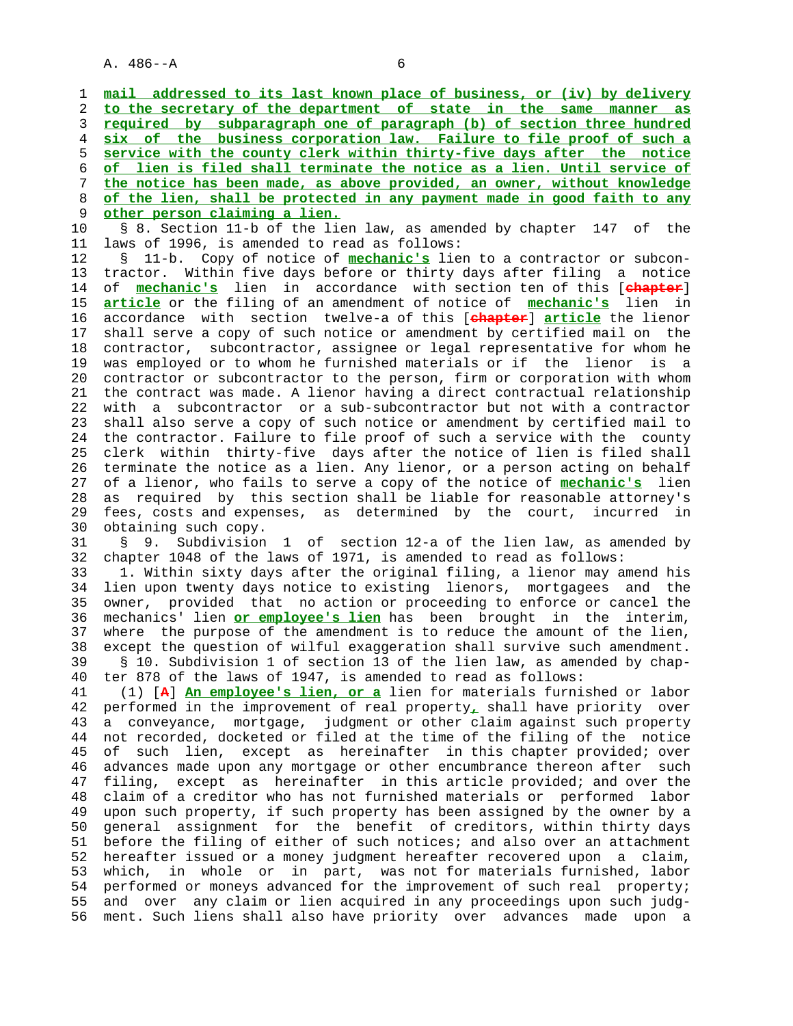1 **mail addressed to its last known place of business, or (iv) by delivery** 2 **to the secretary of the department of state in the same manner as** 3 **required by subparagraph one of paragraph (b) of section three hundred** 4 **six of the business corporation law. Failure to file proof of such a** 5 **service with the county clerk within thirty-five days after the notice** 6 **of lien is filed shall terminate the notice as a lien. Until service of** 7 **the notice has been made, as above provided, an owner, without knowledge** 8 **of the lien, shall be protected in any payment made in good faith to any** 9 **other person claiming a lien.** 10 § 8. Section 11-b of the lien law, as amended by chapter 147 of the 11 laws of 1996, is amended to read as follows: 12 § 11-b. Copy of notice of **mechanic's** lien to a contractor or subcon- 13 tractor. Within five days before or thirty days after filing a notice 14 of **mechanic's** lien in accordance with section ten of this [**chapter**] 15 **article** or the filing of an amendment of notice of **mechanic's** lien in 16 accordance with section twelve-a of this [**chapter**] **article** the lienor 17 shall serve a copy of such notice or amendment by certified mail on the 18 contractor, subcontractor, assignee or legal representative for whom he 19 was employed or to whom he furnished materials or if the lienor is a 20 contractor or subcontractor to the person, firm or corporation with whom 21 the contract was made. A lienor having a direct contractual relationship 22 with a subcontractor or a sub-subcontractor but not with a contractor 23 shall also serve a copy of such notice or amendment by certified mail to 24 the contractor. Failure to file proof of such a service with the county 25 clerk within thirty-five days after the notice of lien is filed shall 26 terminate the notice as a lien. Any lienor, or a person acting on behalf 27 of a lienor, who fails to serve a copy of the notice of **mechanic's** lien 28 as required by this section shall be liable for reasonable attorney's 29 fees, costs and expenses, as determined by the court, incurred in 30 obtaining such copy. 31 § 9. Subdivision 1 of section 12-a of the lien law, as amended by 32 chapter 1048 of the laws of 1971, is amended to read as follows: 33 1. Within sixty days after the original filing, a lienor may amend his 34 lien upon twenty days notice to existing lienors, mortgagees and the 35 owner, provided that no action or proceeding to enforce or cancel the 36 mechanics' lien **or employee's lien** has been brought in the interim, 37 where the purpose of the amendment is to reduce the amount of the lien, 38 except the question of wilful exaggeration shall survive such amendment. 39 § 10. Subdivision 1 of section 13 of the lien law, as amended by chap- 40 ter 878 of the laws of 1947, is amended to read as follows: 41 (1) [**A**] **An employee's lien, or a** lien for materials furnished or labor 42 performed in the improvement of real property**,** shall have priority over 43 a conveyance, mortgage, judgment or other claim against such property 44 not recorded, docketed or filed at the time of the filing of the notice 45 of such lien, except as hereinafter in this chapter provided; over 46 advances made upon any mortgage or other encumbrance thereon after such 47 filing, except as hereinafter in this article provided; and over the 48 claim of a creditor who has not furnished materials or performed labor 49 upon such property, if such property has been assigned by the owner by a 50 general assignment for the benefit of creditors, within thirty days 51 before the filing of either of such notices; and also over an attachment 52 hereafter issued or a money judgment hereafter recovered upon a claim, 53 which, in whole or in part, was not for materials furnished, labor 54 performed or moneys advanced for the improvement of such real property; 55 and over any claim or lien acquired in any proceedings upon such judg- 56 ment. Such liens shall also have priority over advances made upon a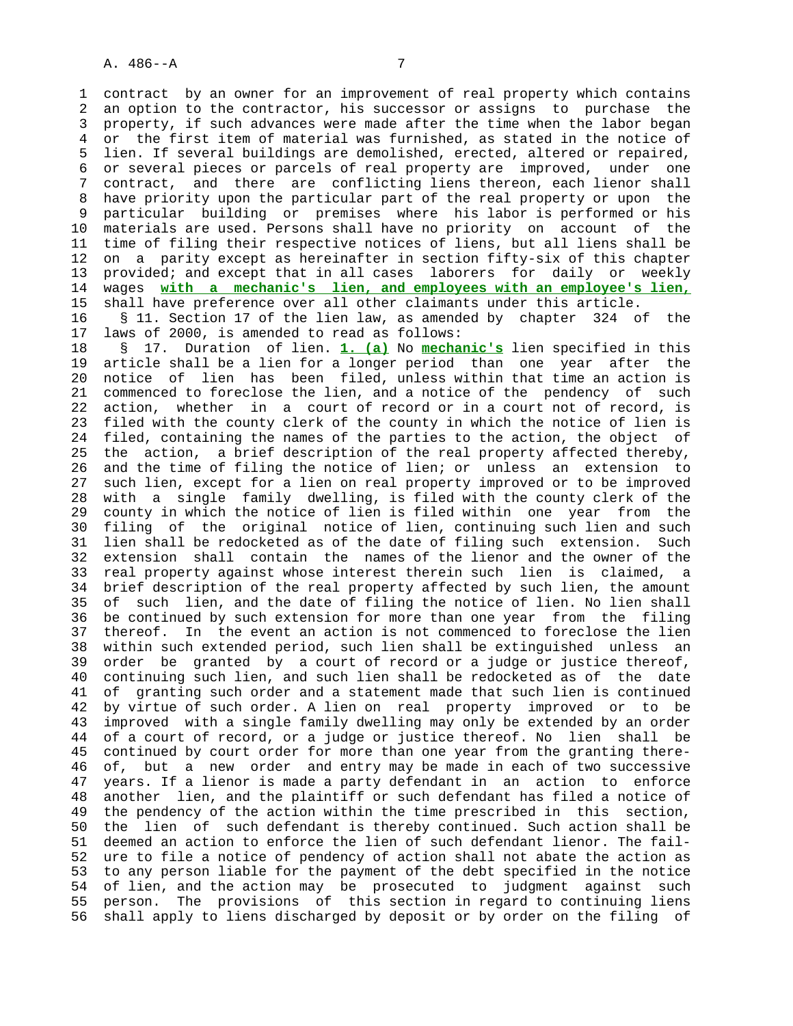1 contract by an owner for an improvement of real property which contains 2 an option to the contractor, his successor or assigns to purchase the 3 property, if such advances were made after the time when the labor began 4 or the first item of material was furnished, as stated in the notice of 5 lien. If several buildings are demolished, erected, altered or repaired, 6 or several pieces or parcels of real property are improved, under one 7 contract, and there are conflicting liens thereon, each lienor shall 8 have priority upon the particular part of the real property or upon the<br>9 particular building or premises where his labor is performed or his 9 particular building or premises where his labor is performed or his 10 materials are used. Persons shall have no priority on account of the 11 time of filing their respective notices of liens, but all liens shall be 12 on a parity except as hereinafter in section fifty-six of this chapter 13 provided; and except that in all cases laborers for daily or weekly<br>14 waqes with a mechanic's lien, and employees with an employee's lien. 14 wages **with a mechanic's lien, and employees with an employee's lien,** 15 shall have preference over all other claimants under this article.

 16 § 11. Section 17 of the lien law, as amended by chapter 324 of the 17 laws of 2000, is amended to read as follows:

 18 § 17. Duration of lien. **1. (a)** No **mechanic's** lien specified in this 19 article shall be a lien for a longer period than one year after the 20 notice of lien has been filed, unless within that time an action is 21 commenced to foreclose the lien, and a notice of the pendency of such 22 action, whether in a court of record or in a court not of record, is 23 filed with the county clerk of the county in which the notice of lien is 24 filed, containing the names of the parties to the action, the object of 25 the action, a brief description of the real property affected thereby, 26 and the time of filing the notice of lien; or unless an extension to 27 such lien, except for a lien on real property improved or to be improved 28 with a single family dwelling, is filed with the county clerk of the 29 county in which the notice of lien is filed within one year from the 30 filing of the original notice of lien, continuing such lien and such 31 lien shall be redocketed as of the date of filing such extension. Such 32 extension shall contain the names of the lienor and the owner of the 33 real property against whose interest therein such lien is claimed, a 34 brief description of the real property affected by such lien, the amount 35 of such lien, and the date of filing the notice of lien. No lien shall 36 be continued by such extension for more than one year from the filing 37 thereof. In the event an action is not commenced to foreclose the lien 38 within such extended period, such lien shall be extinguished unless an 39 order be granted by a court of record or a judge or justice thereof, 40 continuing such lien, and such lien shall be redocketed as of the date 41 of granting such order and a statement made that such lien is continued 42 by virtue of such order. A lien on real property improved or to be 43 improved with a single family dwelling may only be extended by an order 44 of a court of record, or a judge or justice thereof. No lien shall be 45 continued by court order for more than one year from the granting there- 46 of, but a new order and entry may be made in each of two successive 47 years. If a lienor is made a party defendant in an action to enforce 48 another lien, and the plaintiff or such defendant has filed a notice of 49 the pendency of the action within the time prescribed in this section, 50 the lien of such defendant is thereby continued. Such action shall be 51 deemed an action to enforce the lien of such defendant lienor. The fail- 52 ure to file a notice of pendency of action shall not abate the action as 53 to any person liable for the payment of the debt specified in the notice 54 of lien, and the action may be prosecuted to judgment against such 55 person. The provisions of this section in regard to continuing liens 56 shall apply to liens discharged by deposit or by order on the filing of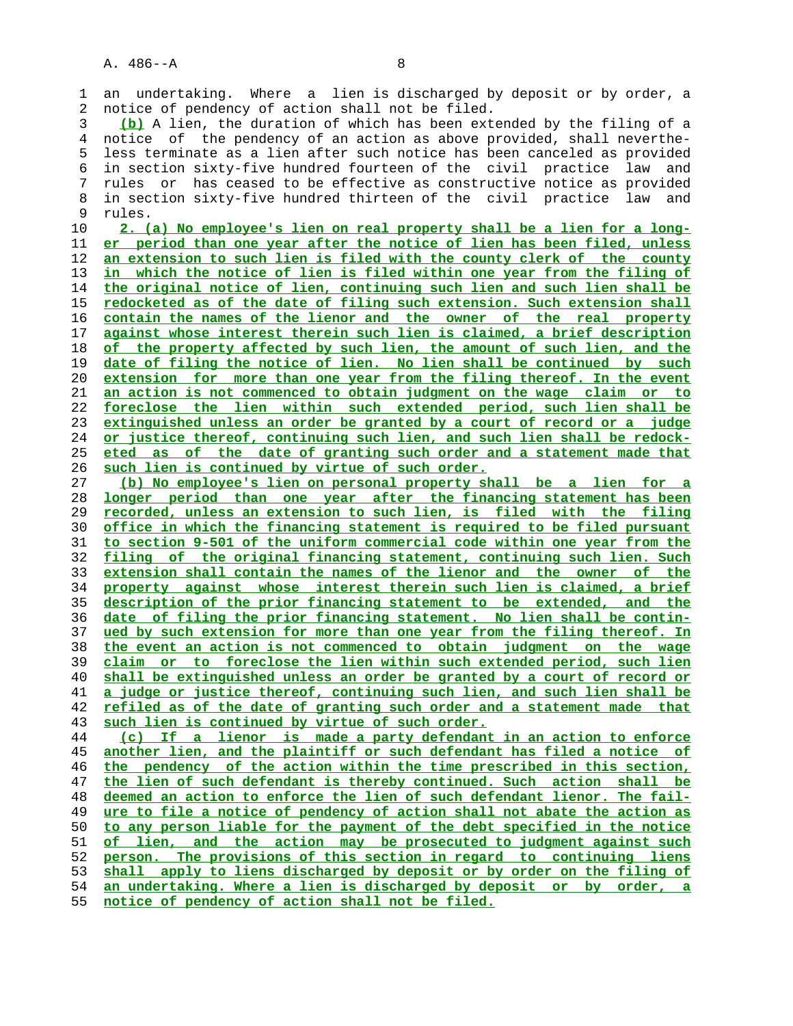1 an undertaking. Where a lien is discharged by deposit or by order, a 2 notice of pendency of action shall not be filed.

**(b)** A lien, the duration of which has been extended by the filing of a 4 notice of the pendency of an action as above provided, shall neverthe- 5 less terminate as a lien after such notice has been canceled as provided 6 in section sixty-five hundred fourteen of the civil practice law and 7 rules or has ceased to be effective as constructive notice as provided 8 in section sixty-five hundred thirteen of the civil practice law and<br>9 rules. rules.

**2. (a) No employee's lien on real property shall be a lien for a long- er period than one year after the notice of lien has been filed, unless an extension to such lien is filed with the county clerk of the county in which the notice of lien is filed within one year from the filing of the original notice of lien, continuing such lien and such lien shall be redocketed as of the date of filing such extension. Such extension shall contain the names of the lienor and the owner of the real property against whose interest therein such lien is claimed, a brief description of the property affected by such lien, the amount of such lien, and the date of filing the notice of lien. No lien shall be continued by such extension for more than one year from the filing thereof. In the event an action is not commenced to obtain judgment on the wage claim or to foreclose the lien within such extended period, such lien shall be extinguished unless an order be granted by a court of record or a judge or justice thereof, continuing such lien, and such lien shall be redock- eted as of the date of granting such order and a statement made that such lien is continued by virtue of such order.**

**(b) No employee's lien on personal property shall be a lien for a longer period than one year after the financing statement has been recorded, unless an extension to such lien, is filed with the filing office in which the financing statement is required to be filed pursuant to section 9-501 of the uniform commercial code within one year from the filing of the original financing statement, continuing such lien. Such extension shall contain the names of the lienor and the owner of the property against whose interest therein such lien is claimed, a brief description of the prior financing statement to be extended, and the date of filing the prior financing statement. No lien shall be contin- ued by such extension for more than one year from the filing thereof. In the event an action is not commenced to obtain judgment on the wage claim or to foreclose the lien within such extended period, such lien shall be extinguished unless an order be granted by a court of record or a judge or justice thereof, continuing such lien, and such lien shall be refiled as of the date of granting such order and a statement made that such lien is continued by virtue of such order.**

**(c) If a lienor is made a party defendant in an action to enforce another lien, and the plaintiff or such defendant has filed a notice of the pendency of the action within the time prescribed in this section, the lien of such defendant is thereby continued. Such action shall be deemed an action to enforce the lien of such defendant lienor. The fail- ure to file a notice of pendency of action shall not abate the action as to any person liable for the payment of the debt specified in the notice of lien, and the action may be prosecuted to judgment against such person. The provisions of this section in regard to continuing liens shall apply to liens discharged by deposit or by order on the filing of an undertaking. Where a lien is discharged by deposit or by order, a notice of pendency of action shall not be filed.**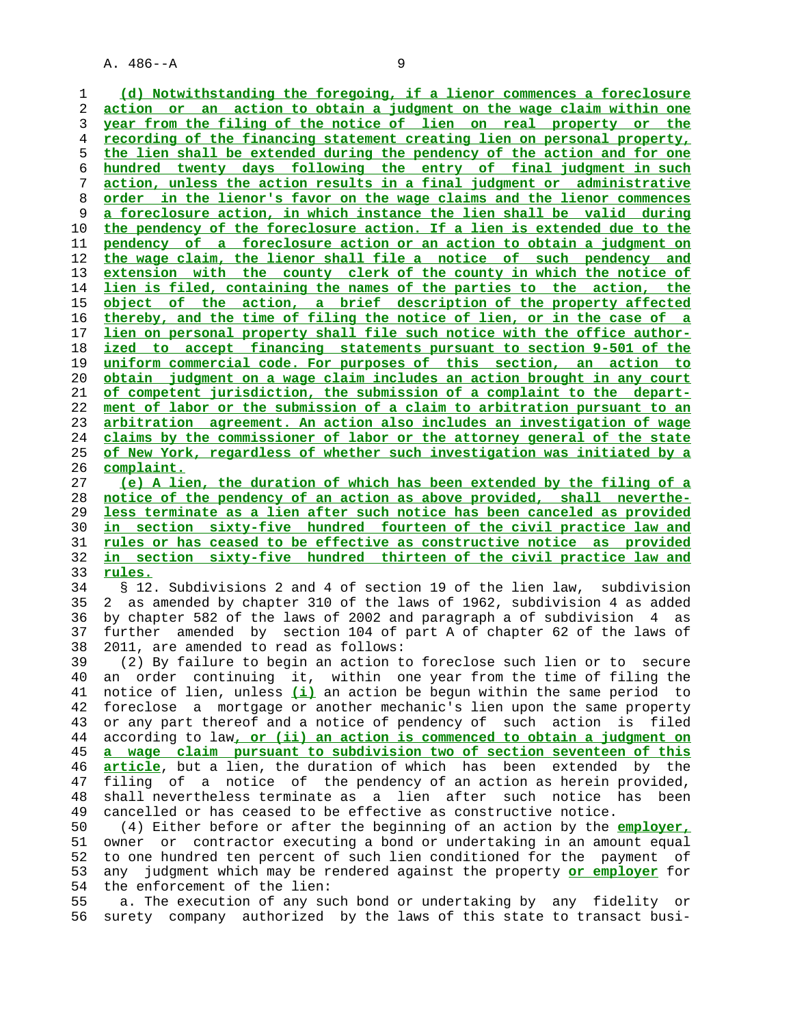**(d) Notwithstanding the foregoing, if a lienor commences a foreclosure action or an action to obtain a judgment on the wage claim within one year from the filing of the notice of lien on real property or the recording of the financing statement creating lien on personal property, the lien shall be extended during the pendency of the action and for one hundred twenty days following the entry of final judgment in such action, unless the action results in a final judgment or administrative order in the lienor's favor on the wage claims and the lienor commences a foreclosure action, in which instance the lien shall be valid during the pendency of the foreclosure action. If a lien is extended due to the pendency of a foreclosure action or an action to obtain a judgment on the wage claim, the lienor shall file a notice of such pendency and extension with the county clerk of the county in which the notice of lien is filed, containing the names of the parties to the action, the object of the action, a brief description of the property affected thereby, and the time of filing the notice of lien, or in the case of a lien on personal property shall file such notice with the office author- ized to accept financing statements pursuant to section 9-501 of the uniform commercial code. For purposes of this section, an action to obtain judgment on a wage claim includes an action brought in any court of competent jurisdiction, the submission of a complaint to the depart- ment of labor or the submission of a claim to arbitration pursuant to an arbitration agreement. An action also includes an investigation of wage claims by the commissioner of labor or the attorney general of the state of New York, regardless of whether such investigation was initiated by a complaint. (e) A lien, the duration of which has been extended by the filing of a**

**notice of the pendency of an action as above provided, shall neverthe- less terminate as a lien after such notice has been canceled as provided in section sixty-five hundred fourteen of the civil practice law and rules or has ceased to be effective as constructive notice as provided in section sixty-five hundred thirteen of the civil practice law and rules.**

 34 § 12. Subdivisions 2 and 4 of section 19 of the lien law, subdivision 35 2 as amended by chapter 310 of the laws of 1962, subdivision 4 as added 36 by chapter 582 of the laws of 2002 and paragraph a of subdivision 4 as 37 further amended by section 104 of part A of chapter 62 of the laws of 38 2011, are amended to read as follows:

 39 (2) By failure to begin an action to foreclose such lien or to secure 40 an order continuing it, within one year from the time of filing the 41 notice of lien, unless **(i)** an action be begun within the same period to 42 foreclose a mortgage or another mechanic's lien upon the same property 43 or any part thereof and a notice of pendency of such action is filed 44 according to law**, or (ii) an action is commenced to obtain a judgment on a wage claim pursuant to subdivision two of section seventeen of this article**, but a lien, the duration of which has been extended by the 47 filing of a notice of the pendency of an action as herein provided, 48 shall nevertheless terminate as a lien after such notice has been 49 cancelled or has ceased to be effective as constructive notice.

 50 (4) Either before or after the beginning of an action by the **employer,** 51 owner or contractor executing a bond or undertaking in an amount equal 52 to one hundred ten percent of such lien conditioned for the payment of 53 any judgment which may be rendered against the property **or employer** for 54 the enforcement of the lien:

 55 a. The execution of any such bond or undertaking by any fidelity or 56 surety company authorized by the laws of this state to transact busi-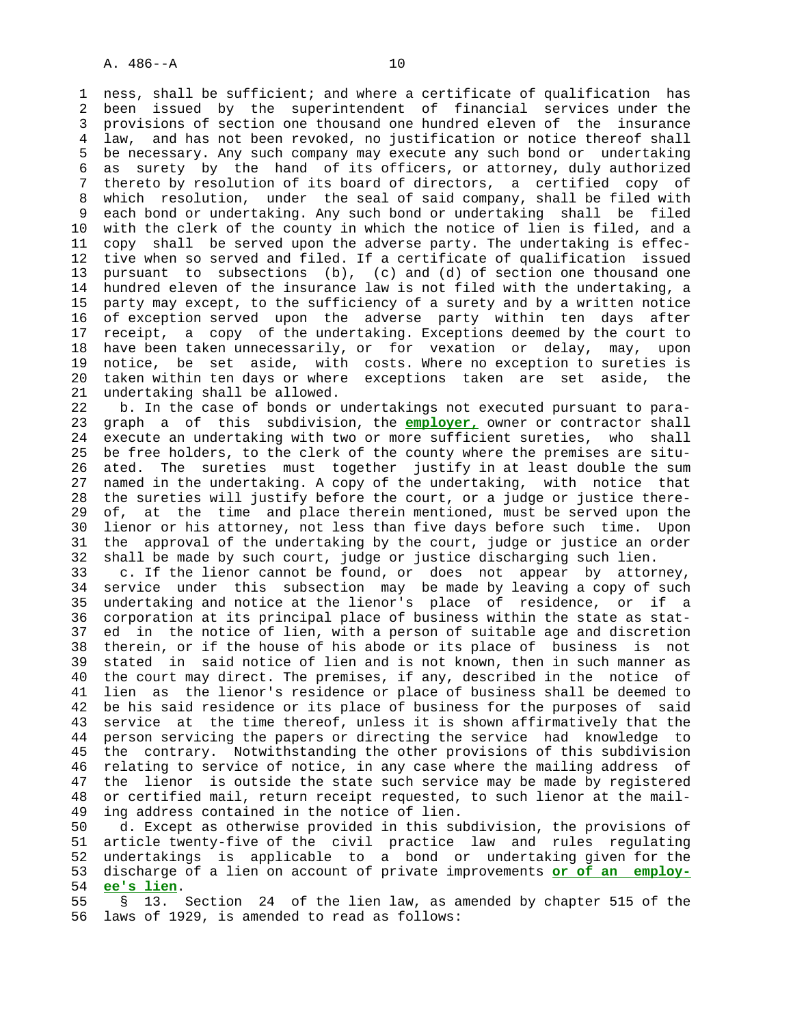1 ness, shall be sufficient; and where a certificate of qualification has 2 been issued by the superintendent of financial services under the 3 provisions of section one thousand one hundred eleven of the insurance 4 law, and has not been revoked, no justification or notice thereof shall 5 be necessary. Any such company may execute any such bond or undertaking 6 as surety by the hand of its officers, or attorney, duly authorized 7 thereto by resolution of its board of directors, a certified copy of 8 which resolution, under the seal of said company, shall be filed with each bond or undertaking. Any such bond or undertaking shall be filed 10 with the clerk of the county in which the notice of lien is filed, and a 11 copy shall be served upon the adverse party. The undertaking is effec- 12 tive when so served and filed. If a certificate of qualification issued 13 pursuant to subsections (b), (c) and (d) of section one thousand one 14 hundred eleven of the insurance law is not filed with the undertaking, a 15 party may except, to the sufficiency of a surety and by a written notice 16 of exception served upon the adverse party within ten days after 17 receipt, a copy of the undertaking. Exceptions deemed by the court to 18 have been taken unnecessarily, or for vexation or delay, may, upon 19 notice, be set aside, with costs. Where no exception to sureties is 20 taken within ten days or where exceptions taken are set aside, the 21 undertaking shall be allowed.

 22 b. In the case of bonds or undertakings not executed pursuant to para- 23 graph a of this subdivision, the **employer,** owner or contractor shall 24 execute an undertaking with two or more sufficient sureties, who shall 25 be free holders, to the clerk of the county where the premises are situ- 26 ated. The sureties must together justify in at least double the sum 27 named in the undertaking. A copy of the undertaking, with notice that 28 the sureties will justify before the court, or a judge or justice there- 29 of, at the time and place therein mentioned, must be served upon the 30 lienor or his attorney, not less than five days before such time. Upon 31 the approval of the undertaking by the court, judge or justice an order 32 shall be made by such court, judge or justice discharging such lien.

 33 c. If the lienor cannot be found, or does not appear by attorney, 34 service under this subsection may be made by leaving a copy of such 35 undertaking and notice at the lienor's place of residence, or if a 36 corporation at its principal place of business within the state as stat- 37 ed in the notice of lien, with a person of suitable age and discretion 38 therein, or if the house of his abode or its place of business is not 39 stated in said notice of lien and is not known, then in such manner as 40 the court may direct. The premises, if any, described in the notice of 41 lien as the lienor's residence or place of business shall be deemed to 42 be his said residence or its place of business for the purposes of said 43 service at the time thereof, unless it is shown affirmatively that the 44 person servicing the papers or directing the service had knowledge to 45 the contrary. Notwithstanding the other provisions of this subdivision 46 relating to service of notice, in any case where the mailing address of 47 the lienor is outside the state such service may be made by registered 48 or certified mail, return receipt requested, to such lienor at the mail- 49 ing address contained in the notice of lien.

 50 d. Except as otherwise provided in this subdivision, the provisions of 51 article twenty-five of the civil practice law and rules regulating 52 undertakings is applicable to a bond or undertaking given for the 53 discharge of a lien on account of private improvements **or of an employ-** 54 **ee's lien**.

 55 § 13. Section 24 of the lien law, as amended by chapter 515 of the 56 laws of 1929, is amended to read as follows: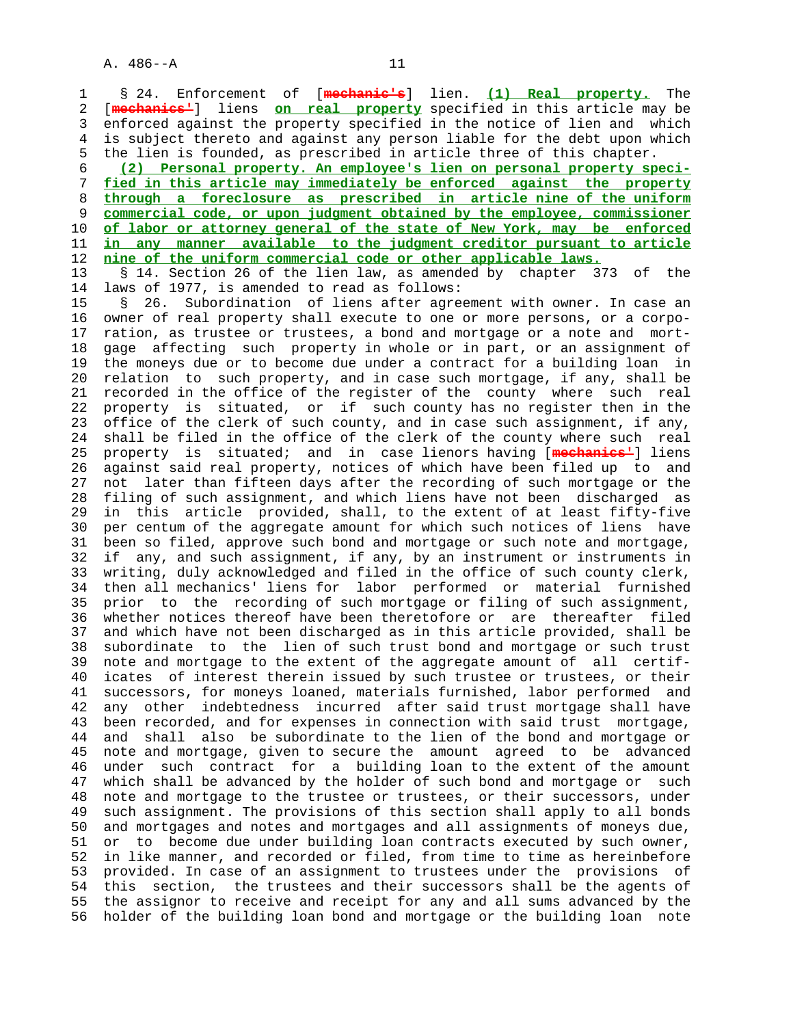1 § 24. Enforcement of [**mechanic's**] lien. **(1) Real property.** The 2 [**mechanics'**] liens **on real property** specified in this article may be 3 enforced against the property specified in the notice of lien and which 4 is subject thereto and against any person liable for the debt upon which 5 the lien is founded, as prescribed in article three of this chapter.

**(2) Personal property. An employee's lien on personal property speci- fied in this article may immediately be enforced against the property through a foreclosure as prescribed in article nine of the uniform commercial code, or upon judgment obtained by the employee, commissioner of labor or attorney general of the state of New York, may be enforced in any manner available to the judgment creditor pursuant to article nine of the uniform commercial code or other applicable laws.**

13 § 14. Section 26 of the lien law, as amended by chapter 373 of the 14 laws of 1977, is amended to read as follows: laws of 1977, is amended to read as follows:

 15 § 26. Subordination of liens after agreement with owner. In case an 16 owner of real property shall execute to one or more persons, or a corpo- 17 ration, as trustee or trustees, a bond and mortgage or a note and mort- 18 gage affecting such property in whole or in part, or an assignment of 19 the moneys due or to become due under a contract for a building loan in 20 relation to such property, and in case such mortgage, if any, shall be 21 recorded in the office of the register of the county where such real 22 property is situated, or if such county has no register then in the 23 office of the clerk of such county, and in case such assignment, if any, 24 shall be filed in the office of the clerk of the county where such real 25 property is situated; and in case lienors having [**mechanics'**] liens 26 against said real property, notices of which have been filed up to and 27 not later than fifteen days after the recording of such mortgage or the 28 filing of such assignment, and which liens have not been discharged as 29 in this article provided, shall, to the extent of at least fifty-five 30 per centum of the aggregate amount for which such notices of liens have 31 been so filed, approve such bond and mortgage or such note and mortgage, 32 if any, and such assignment, if any, by an instrument or instruments in 33 writing, duly acknowledged and filed in the office of such county clerk, 34 then all mechanics' liens for labor performed or material furnished 35 prior to the recording of such mortgage or filing of such assignment, 36 whether notices thereof have been theretofore or are thereafter filed 37 and which have not been discharged as in this article provided, shall be 38 subordinate to the lien of such trust bond and mortgage or such trust 39 note and mortgage to the extent of the aggregate amount of all certif- 40 icates of interest therein issued by such trustee or trustees, or their 41 successors, for moneys loaned, materials furnished, labor performed and 42 any other indebtedness incurred after said trust mortgage shall have 43 been recorded, and for expenses in connection with said trust mortgage, 44 and shall also be subordinate to the lien of the bond and mortgage or 45 note and mortgage, given to secure the amount agreed to be advanced 46 under such contract for a building loan to the extent of the amount 47 which shall be advanced by the holder of such bond and mortgage or such 48 note and mortgage to the trustee or trustees, or their successors, under 49 such assignment. The provisions of this section shall apply to all bonds 50 and mortgages and notes and mortgages and all assignments of moneys due, 51 or to become due under building loan contracts executed by such owner, 52 in like manner, and recorded or filed, from time to time as hereinbefore 53 provided. In case of an assignment to trustees under the provisions of 54 this section, the trustees and their successors shall be the agents of 55 the assignor to receive and receipt for any and all sums advanced by the 56 holder of the building loan bond and mortgage or the building loan note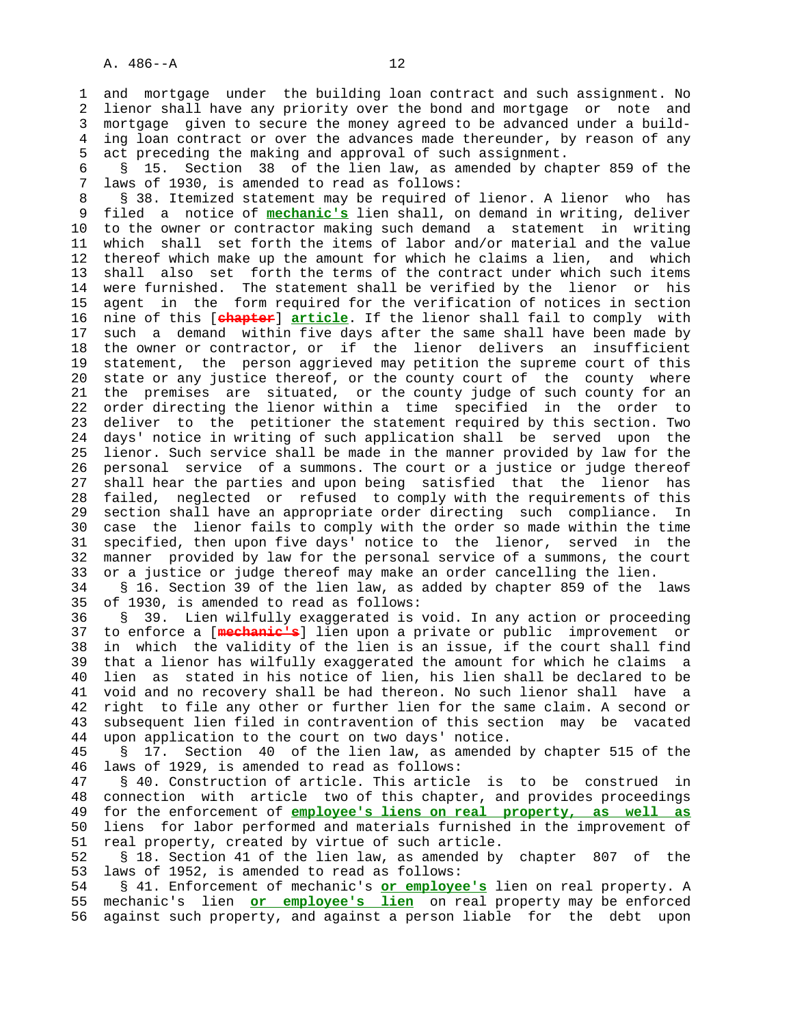1 and mortgage under the building loan contract and such assignment. No 2 lienor shall have any priority over the bond and mortgage or note and 3 mortgage given to secure the money agreed to be advanced under a build- 4 ing loan contract or over the advances made thereunder, by reason of any 5 act preceding the making and approval of such assignment.

 6 § 15. Section 38 of the lien law, as amended by chapter 859 of the 7 laws of 1930, is amended to read as follows:

8 § 38. Itemized statement may be required of lienor. A lienor who has<br>9 filed a notice of mechanic's lien shall, on demand in writing, deliver 9 filed a notice of **mechanic's** lien shall, on demand in writing, deliver 10 to the owner or contractor making such demand a statement in writing 11 which shall set forth the items of labor and/or material and the value 12 thereof which make up the amount for which he claims a lien, and which 13 shall also set forth the terms of the contract under which such items 14 were furnished. The statement shall be verified by the lienor or his 15 agent in the form required for the verification of notices in section 16 nine of this [**chapter**] **article**. If the lienor shall fail to comply with 17 such a demand within five days after the same shall have been made by 18 the owner or contractor, or if the lienor delivers an insufficient 19 statement, the person aggrieved may petition the supreme court of this 20 state or any justice thereof, or the county court of the county where 21 the premises are situated, or the county judge of such county for an 22 order directing the lienor within a time specified in the order to 23 deliver to the petitioner the statement required by this section. Two 24 days' notice in writing of such application shall be served upon the 25 lienor. Such service shall be made in the manner provided by law for the 26 personal service of a summons. The court or a justice or judge thereof 27 shall hear the parties and upon being satisfied that the lienor has 28 failed, neglected or refused to comply with the requirements of this 29 section shall have an appropriate order directing such compliance. In 30 case the lienor fails to comply with the order so made within the time 31 specified, then upon five days' notice to the lienor, served in the 32 manner provided by law for the personal service of a summons, the court 33 or a justice or judge thereof may make an order cancelling the lien.

 34 § 16. Section 39 of the lien law, as added by chapter 859 of the laws 35 of 1930, is amended to read as follows:

 36 § 39. Lien wilfully exaggerated is void. In any action or proceeding 37 to enforce a [**mechanic's**] lien upon a private or public improvement or 38 in which the validity of the lien is an issue, if the court shall find 39 that a lienor has wilfully exaggerated the amount for which he claims a 40 lien as stated in his notice of lien, his lien shall be declared to be 41 void and no recovery shall be had thereon. No such lienor shall have a 42 right to file any other or further lien for the same claim. A second or 43 subsequent lien filed in contravention of this section may be vacated 44 upon application to the court on two days' notice.

 45 § 17. Section 40 of the lien law, as amended by chapter 515 of the 46 laws of 1929, is amended to read as follows:

 47 § 40. Construction of article. This article is to be construed in 48 connection with article two of this chapter, and provides proceedings 49 for the enforcement of **employee's liens on real property, as well as** 50 liens for labor performed and materials furnished in the improvement of 51 real property, created by virtue of such article.

 52 § 18. Section 41 of the lien law, as amended by chapter 807 of the 53 laws of 1952, is amended to read as follows:

 54 § 41. Enforcement of mechanic's **or employee's** lien on real property. A 55 mechanic's lien **or employee's lien** on real property may be enforced 56 against such property, and against a person liable for the debt upon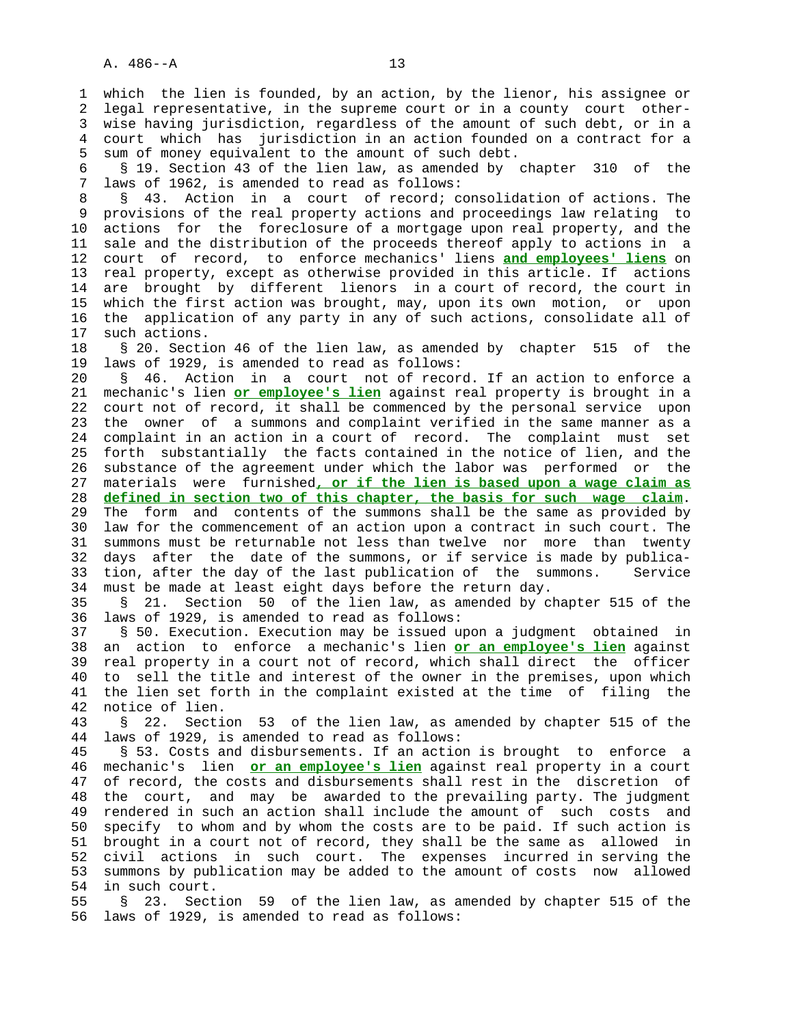1 which the lien is founded, by an action, by the lienor, his assignee or 2 legal representative, in the supreme court or in a county court other- 3 wise having jurisdiction, regardless of the amount of such debt, or in a 4 court which has jurisdiction in an action founded on a contract for a 5 sum of money equivalent to the amount of such debt.

 6 § 19. Section 43 of the lien law, as amended by chapter 310 of the 7 laws of 1962, is amended to read as follows:

8 § 43. Action in a court of record; consolidation of actions. The<br>9 provisions of the real property actions and proceedings law relating to 9 provisions of the real property actions and proceedings law relating to 10 actions for the foreclosure of a mortgage upon real property, and the 11 sale and the distribution of the proceeds thereof apply to actions in a 12 court of record, to enforce mechanics' liens **and employees' liens** on 13 real property, except as otherwise provided in this article. If actions 14 are brought by different lienors in a court of record, the court in 15 which the first action was brought, may, upon its own motion, or upon 16 the application of any party in any of such actions, consolidate all of 17 such actions.

 18 § 20. Section 46 of the lien law, as amended by chapter 515 of the 19 laws of 1929, is amended to read as follows:

 20 § 46. Action in a court not of record. If an action to enforce a 21 mechanic's lien **or employee's lien** against real property is brought in a 22 court not of record, it shall be commenced by the personal service upon 23 the owner of a summons and complaint verified in the same manner as a 24 complaint in an action in a court of record. The complaint must set 25 forth substantially the facts contained in the notice of lien, and the 26 substance of the agreement under which the labor was performed or the 27 materials were furnished**, or if the lien is based upon a wage claim as** 28 **defined in section two of this chapter, the basis for such wage claim**. 29 The form and contents of the summons shall be the same as provided by 30 law for the commencement of an action upon a contract in such court. The 31 summons must be returnable not less than twelve nor more than twenty 32 days after the date of the summons, or if service is made by publica-

 33 tion, after the day of the last publication of the summons. Service 34 must be made at least eight days before the return day.

 35 § 21. Section 50 of the lien law, as amended by chapter 515 of the 36 laws of 1929, is amended to read as follows:

 37 § 50. Execution. Execution may be issued upon a judgment obtained in 38 an action to enforce a mechanic's lien **or an employee's lien** against 39 real property in a court not of record, which shall direct the officer 40 to sell the title and interest of the owner in the premises, upon which 41 the lien set forth in the complaint existed at the time of filing the 42 notice of lien.

 43 § 22. Section 53 of the lien law, as amended by chapter 515 of the 44 laws of 1929, is amended to read as follows:

 45 § 53. Costs and disbursements. If an action is brought to enforce a 46 mechanic's lien **or an employee's lien** against real property in a court 47 of record, the costs and disbursements shall rest in the discretion of 48 the court, and may be awarded to the prevailing party. The judgment 49 rendered in such an action shall include the amount of such costs and 50 specify to whom and by whom the costs are to be paid. If such action is 51 brought in a court not of record, they shall be the same as allowed in 52 civil actions in such court. The expenses incurred in serving the 53 summons by publication may be added to the amount of costs now allowed 54 in such court.

 55 § 23. Section 59 of the lien law, as amended by chapter 515 of the 56 laws of 1929, is amended to read as follows: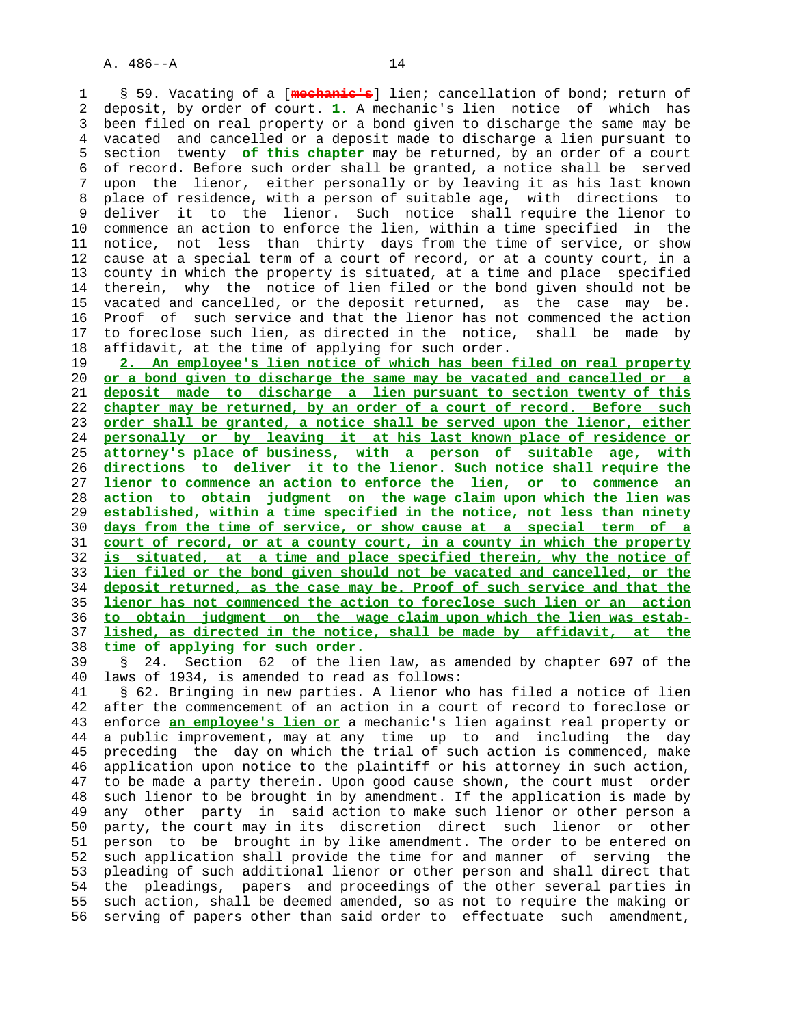1 § 59. Vacating of a [**mechanic's**] lien; cancellation of bond; return of 2 deposit, by order of court. **1.** A mechanic's lien notice of which has 3 been filed on real property or a bond given to discharge the same may be 4 vacated and cancelled or a deposit made to discharge a lien pursuant to 5 section twenty **of this chapter** may be returned, by an order of a court 6 of record. Before such order shall be granted, a notice shall be served 7 upon the lienor, either personally or by leaving it as his last known 8 place of residence, with a person of suitable age, with directions to 9 deliver it to the lienor. Such notice shall require the lienor to 10 commence an action to enforce the lien, within a time specified in the 11 notice, not less than thirty days from the time of service, or show 12 cause at a special term of a court of record, or at a county court, in a 13 county in which the property is situated, at a time and place specified 14 therein, why the notice of lien filed or the bond given should not be 15 vacated and cancelled, or the deposit returned, as the case may be. 16 Proof of such service and that the lienor has not commenced the action 17 to foreclose such lien, as directed in the notice, shall be made by 18 affidavit, at the time of applying for such order.

**2. An employee's lien notice of which has been filed on real property or a bond given to discharge the same may be vacated and cancelled or a deposit made to discharge a lien pursuant to section twenty of this chapter may be returned, by an order of a court of record. Before such order shall be granted, a notice shall be served upon the lienor, either personally or by leaving it at his last known place of residence or attorney's place of business, with a person of suitable age, with directions to deliver it to the lienor. Such notice shall require the lienor to commence an action to enforce the lien, or to commence an action to obtain judgment on the wage claim upon which the lien was established, within a time specified in the notice, not less than ninety days from the time of service, or show cause at a special term of a court of record, or at a county court, in a county in which the property is situated, at a time and place specified therein, why the notice of lien filed or the bond given should not be vacated and cancelled, or the deposit returned, as the case may be. Proof of such service and that the lienor has not commenced the action to foreclose such lien or an action to obtain judgment on the wage claim upon which the lien was estab- lished, as directed in the notice, shall be made by affidavit, at the time of applying for such order.**

 39 § 24. Section 62 of the lien law, as amended by chapter 697 of the 40 laws of 1934, is amended to read as follows:

 41 § 62. Bringing in new parties. A lienor who has filed a notice of lien 42 after the commencement of an action in a court of record to foreclose or 43 enforce **an employee's lien or** a mechanic's lien against real property or 44 a public improvement, may at any time up to and including the day 45 preceding the day on which the trial of such action is commenced, make 46 application upon notice to the plaintiff or his attorney in such action, 47 to be made a party therein. Upon good cause shown, the court must order 48 such lienor to be brought in by amendment. If the application is made by 49 any other party in said action to make such lienor or other person a 50 party, the court may in its discretion direct such lienor or other 51 person to be brought in by like amendment. The order to be entered on 52 such application shall provide the time for and manner of serving the 53 pleading of such additional lienor or other person and shall direct that 54 the pleadings, papers and proceedings of the other several parties in 55 such action, shall be deemed amended, so as not to require the making or 56 serving of papers other than said order to effectuate such amendment,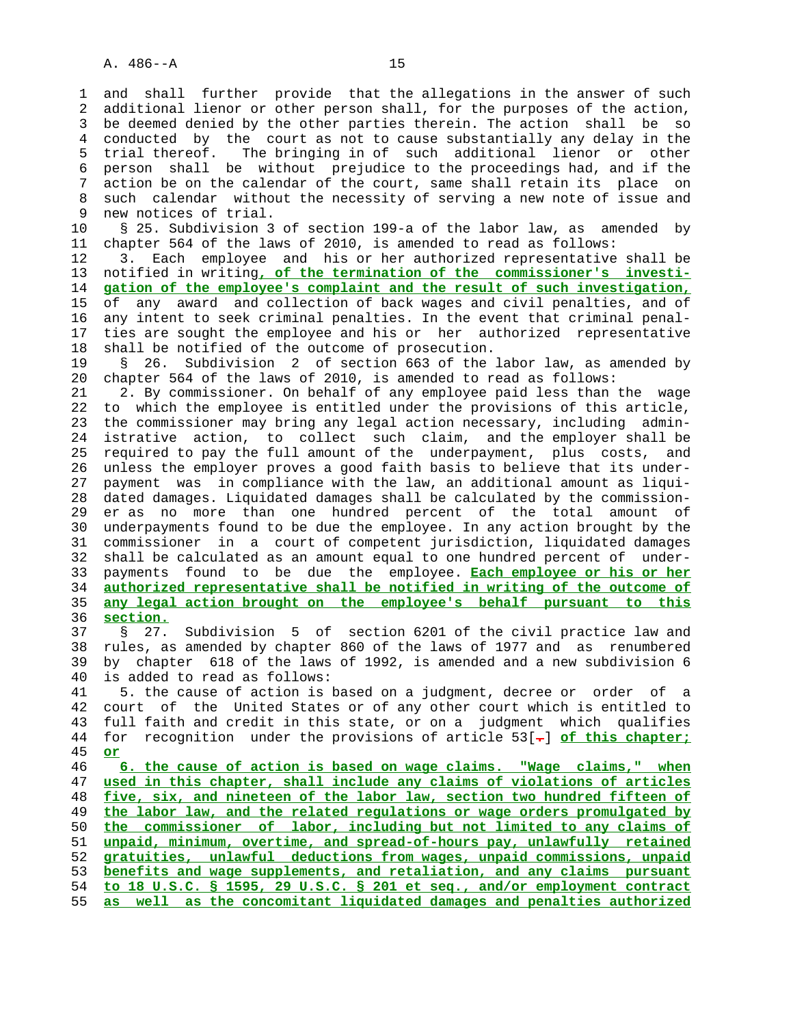1 and shall further provide that the allegations in the answer of such 2 additional lienor or other person shall, for the purposes of the action, 3 be deemed denied by the other parties therein. The action shall be so 4 conducted by the court as not to cause substantially any delay in the 5 trial thereof. The bringing in of such additional lienor or other 6 person shall be without prejudice to the proceedings had, and if the 7 action be on the calendar of the court, same shall retain its place on 8 such calendar without the necessity of serving a new note of issue and<br>9 new notices of trial. new notices of trial.

 10 § 25. Subdivision 3 of section 199-a of the labor law, as amended by 11 chapter 564 of the laws of 2010, is amended to read as follows:

 12 3. Each employee and his or her authorized representative shall be 13 notified in writing**, of the termination of the commissioner's investi-** 14 **gation of the employee's complaint and the result of such investigation,** 15 of any award and collection of back wages and civil penalties, and of 16 any intent to seek criminal penalties. In the event that criminal penal- 17 ties are sought the employee and his or her authorized representative 18 shall be notified of the outcome of prosecution.

 19 § 26. Subdivision 2 of section 663 of the labor law, as amended by 20 chapter 564 of the laws of 2010, is amended to read as follows:

 21 2. By commissioner. On behalf of any employee paid less than the wage 22 to which the employee is entitled under the provisions of this article, 23 the commissioner may bring any legal action necessary, including admin- 24 istrative action, to collect such claim, and the employer shall be 25 required to pay the full amount of the underpayment, plus costs, and 26 unless the employer proves a good faith basis to believe that its under- 27 payment was in compliance with the law, an additional amount as liqui- 28 dated damages. Liquidated damages shall be calculated by the commission- 29 er as no more than one hundred percent of the total amount of 30 underpayments found to be due the employee. In any action brought by the 31 commissioner in a court of competent jurisdiction, liquidated damages 32 shall be calculated as an amount equal to one hundred percent of under- 33 payments found to be due the employee. **Each employee or his or her** 34 **authorized representative shall be notified in writing of the outcome of** 35 **any legal action brought on the employee's behalf pursuant to this** 36 **section.**

 37 § 27. Subdivision 5 of section 6201 of the civil practice law and 38 rules, as amended by chapter 860 of the laws of 1977 and as renumbered 39 by chapter 618 of the laws of 1992, is amended and a new subdivision 6 40 is added to read as follows:

 41 5. the cause of action is based on a judgment, decree or order of a 42 court of the United States or of any other court which is entitled to 43 full faith and credit in this state, or on a judgment which qualifies 44 for recognition under the provisions of article 53[**.**] **of this chapter;** 45 **or**

**6. the cause of action is based on wage claims. "Wage claims," when used in this chapter, shall include any claims of violations of articles five, six, and nineteen of the labor law, section two hundred fifteen of the labor law, and the related regulations or wage orders promulgated by the commissioner of labor, including but not limited to any claims of unpaid, minimum, overtime, and spread-of-hours pay, unlawfully retained gratuities, unlawful deductions from wages, unpaid commissions, unpaid benefits and wage supplements, and retaliation, and any claims pursuant to 18 U.S.C. § 1595, 29 U.S.C. § 201 et seq., and/or employment contract as well as the concomitant liquidated damages and penalties authorized**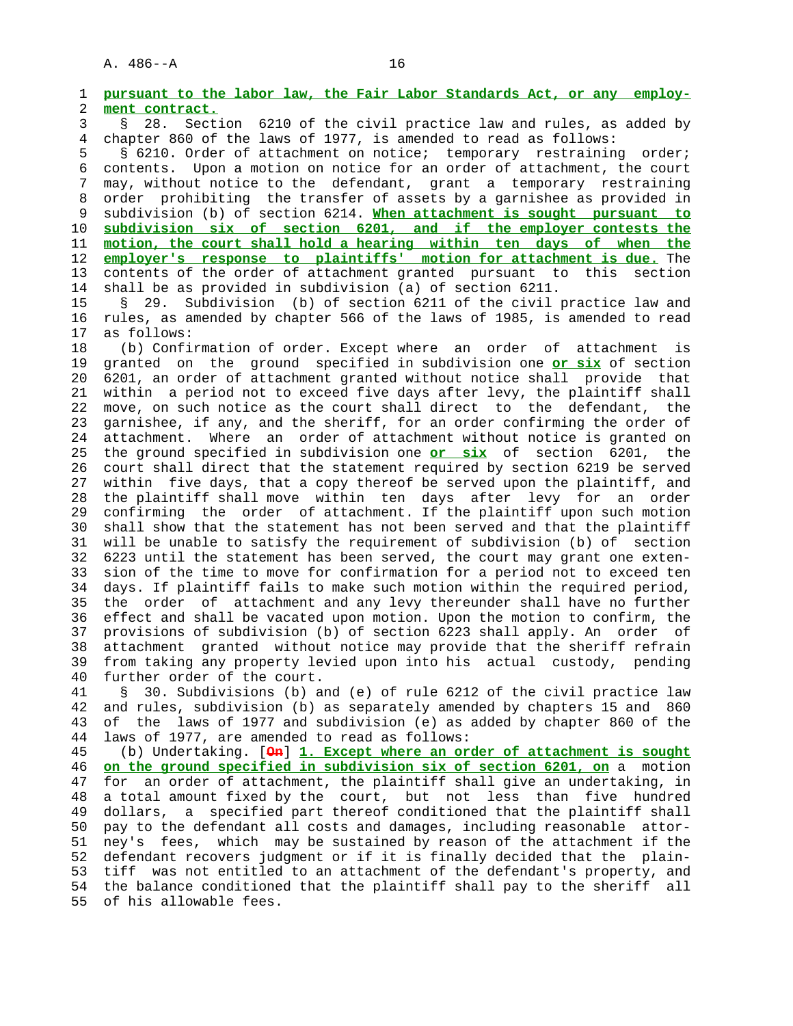1 **pursuant to the labor law, the Fair Labor Standards Act, or any employ-** 2 **ment contract.** 3 § 28. Section 6210 of the civil practice law and rules, as added by 4 chapter 860 of the laws of 1977, is amended to read as follows: 5 § 6210. Order of attachment on notice; temporary restraining order; 6 contents. Upon a motion on notice for an order of attachment, the court 7 may, without notice to the defendant, grant a temporary restraining 8 order prohibiting the transfer of assets by a garnishee as provided in<br>9 subdivision (b) of section 6214. When attachment is sought pursuant to 9 subdivision (b) of section 6214. **When attachment is sought pursuant to** 10 **subdivision six of section 6201, and if the employer contests the** 11 **motion, the court shall hold a hearing within ten days of when the** 12 **employer's response to plaintiffs' motion for attachment is due.** The 13 contents of the order of attachment granted pursuant to this section 14 shall be as provided in subdivision (a) of section 6211. 15 § 29. Subdivision (b) of section 6211 of the civil practice law and 16 rules, as amended by chapter 566 of the laws of 1985, is amended to read 17 as follows: 18 (b) Confirmation of order. Except where an order of attachment is 19 granted on the ground specified in subdivision one **or six** of section 20 6201, an order of attachment granted without notice shall provide that 21 within a period not to exceed five days after levy, the plaintiff shall 22 move, on such notice as the court shall direct to the defendant, the 23 garnishee, if any, and the sheriff, for an order confirming the order of 24 attachment. Where an order of attachment without notice is granted on 25 the ground specified in subdivision one **or six** of section 6201, the 26 court shall direct that the statement required by section 6219 be served 27 within five days, that a copy thereof be served upon the plaintiff, and 28 the plaintiff shall move within ten days after levy for an order 29 confirming the order of attachment. If the plaintiff upon such motion 30 shall show that the statement has not been served and that the plaintiff 31 will be unable to satisfy the requirement of subdivision (b) of section 32 6223 until the statement has been served, the court may grant one exten- 33 sion of the time to move for confirmation for a period not to exceed ten 34 days. If plaintiff fails to make such motion within the required period, 35 the order of attachment and any levy thereunder shall have no further 36 effect and shall be vacated upon motion. Upon the motion to confirm, the 37 provisions of subdivision (b) of section 6223 shall apply. An order of 38 attachment granted without notice may provide that the sheriff refrain 39 from taking any property levied upon into his actual custody, pending 40 further order of the court. 41 § 30. Subdivisions (b) and (e) of rule 6212 of the civil practice law 42 and rules, subdivision (b) as separately amended by chapters 15 and 860 43 of the laws of 1977 and subdivision (e) as added by chapter 860 of the 44 laws of 1977, are amended to read as follows: 45 (b) Undertaking. [**On**] **1. Except where an order of attachment is sought** 46 **on the ground specified in subdivision six of section 6201, on** a motion 47 for an order of attachment, the plaintiff shall give an undertaking, in 48 a total amount fixed by the court, but not less than five hundred 49 dollars, a specified part thereof conditioned that the plaintiff shall 50 pay to the defendant all costs and damages, including reasonable attor-

 51 ney's fees, which may be sustained by reason of the attachment if the 52 defendant recovers judgment or if it is finally decided that the plain- 53 tiff was not entitled to an attachment of the defendant's property, and 54 the balance conditioned that the plaintiff shall pay to the sheriff all 55 of his allowable fees.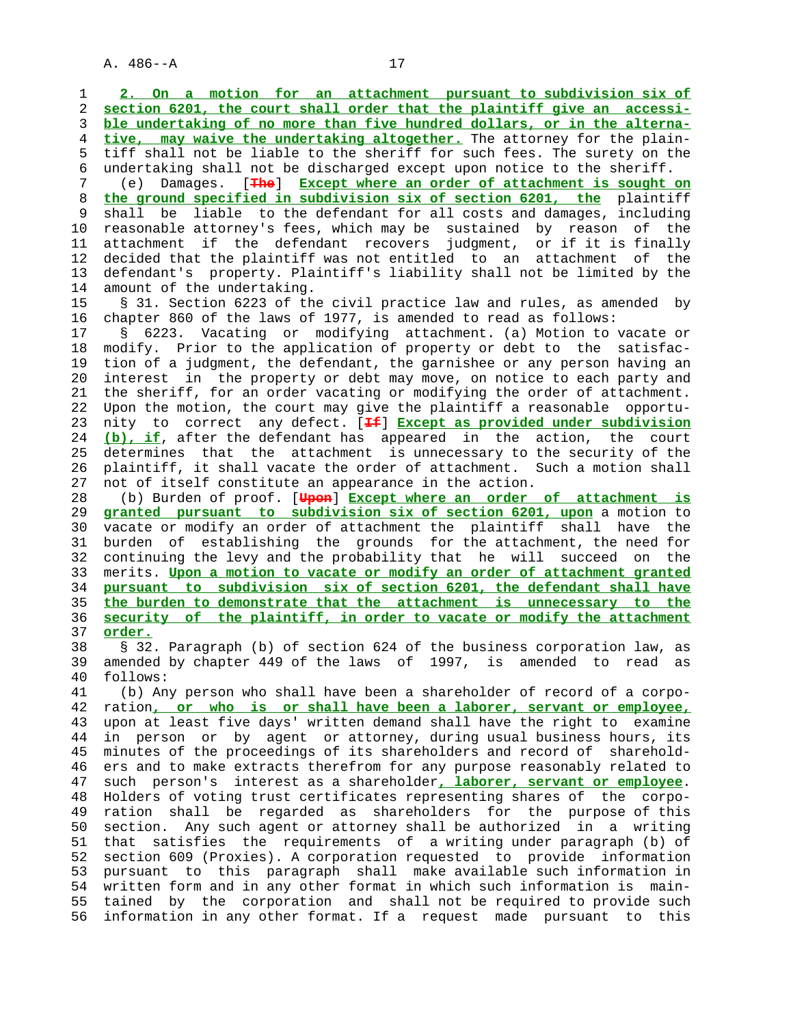1 **2. On a motion for an attachment pursuant to subdivision six of** 2 **section 6201, the court shall order that the plaintiff give an accessi-** 3 **ble undertaking of no more than five hundred dollars, or in the alterna-** 4 **tive, may waive the undertaking altogether.** The attorney for the plain- 5 tiff shall not be liable to the sheriff for such fees. The surety on the 6 undertaking shall not be discharged except upon notice to the sheriff. 7 (e) Damages. [**The**] **Except where an order of attachment is sought on** 8 **the ground specified in subdivision six of section 6201, the** plaintiff shall be liable to the defendant for all costs and damages, including 10 reasonable attorney's fees, which may be sustained by reason of the 11 attachment if the defendant recovers judgment, or if it is finally 12 decided that the plaintiff was not entitled to an attachment of the 13 defendant's property. Plaintiff's liability shall not be limited by the 14 amount of the undertaking. 15 § 31. Section 6223 of the civil practice law and rules, as amended by 16 chapter 860 of the laws of 1977, is amended to read as follows: 17 § 6223. Vacating or modifying attachment. (a) Motion to vacate or 18 modify. Prior to the application of property or debt to the satisfac- 19 tion of a judgment, the defendant, the garnishee or any person having an 20 interest in the property or debt may move, on notice to each party and 21 the sheriff, for an order vacating or modifying the order of attachment. 22 Upon the motion, the court may give the plaintiff a reasonable opportu- 23 nity to correct any defect. [**If**] **Except as provided under subdivision** 24 **(b), if**, after the defendant has appeared in the action, the court 25 determines that the attachment is unnecessary to the security of the 26 plaintiff, it shall vacate the order of attachment. Such a motion shall 27 not of itself constitute an appearance in the action. 28 (b) Burden of proof. [**Upon**] **Except where an order of attachment is** 29 **granted pursuant to subdivision six of section 6201, upon** a motion to 30 vacate or modify an order of attachment the plaintiff shall have the 31 burden of establishing the grounds for the attachment, the need for 32 continuing the levy and the probability that he will succeed on the 33 merits. **Upon a motion to vacate or modify an order of attachment granted** 34 **pursuant to subdivision six of section 6201, the defendant shall have** 35 **the burden to demonstrate that the attachment is unnecessary to the** 36 **security of the plaintiff, in order to vacate or modify the attachment** 37 **order.** 38 § 32. Paragraph (b) of section 624 of the business corporation law, as 39 amended by chapter 449 of the laws of 1997, is amended to read as 40 follows: 41 (b) Any person who shall have been a shareholder of record of a corpo- 42 ration**, or who is or shall have been a laborer, servant or employee,** 43 upon at least five days' written demand shall have the right to examine 44 in person or by agent or attorney, during usual business hours, its 45 minutes of the proceedings of its shareholders and record of sharehold- 46 ers and to make extracts therefrom for any purpose reasonably related to 47 such person's interest as a shareholder**, laborer, servant or employee**. 48 Holders of voting trust certificates representing shares of the corpo- 49 ration shall be regarded as shareholders for the purpose of this 50 section. Any such agent or attorney shall be authorized in a writing 51 that satisfies the requirements of a writing under paragraph (b) of 52 section 609 (Proxies). A corporation requested to provide information 53 pursuant to this paragraph shall make available such information in 54 written form and in any other format in which such information is main- 55 tained by the corporation and shall not be required to provide such 56 information in any other format. If a request made pursuant to this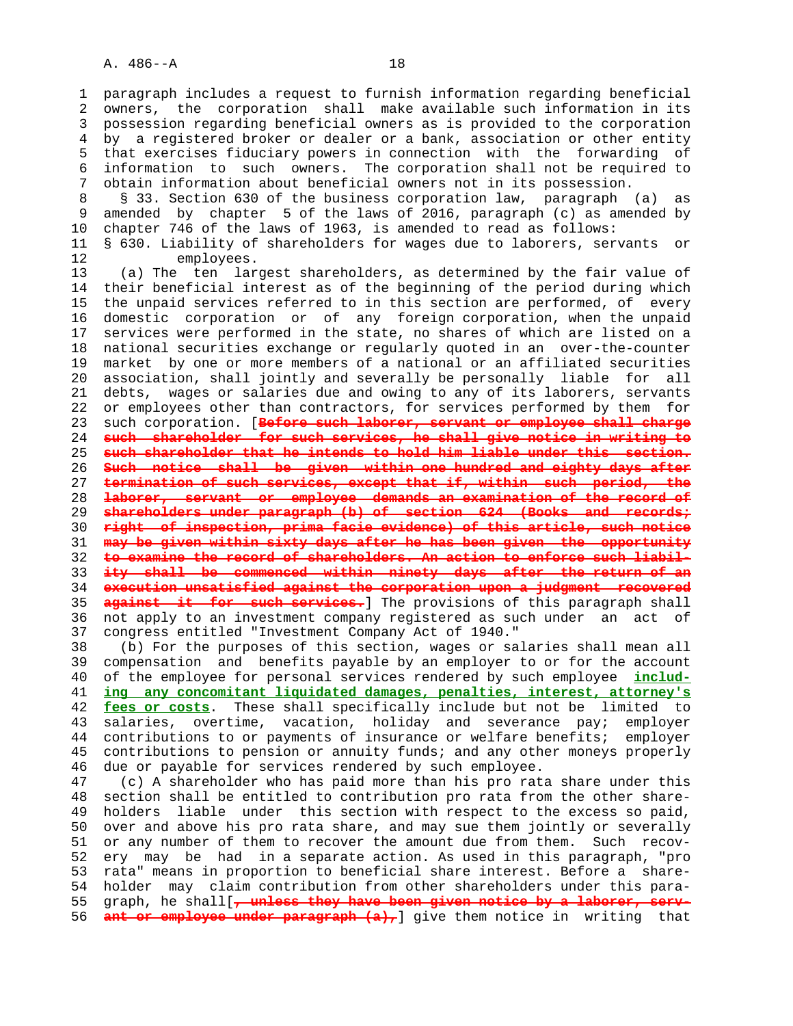1 paragraph includes a request to furnish information regarding beneficial 2 owners, the corporation shall make available such information in its 3 possession regarding beneficial owners as is provided to the corporation 4 by a registered broker or dealer or a bank, association or other entity 5 that exercises fiduciary powers in connection with the forwarding of 6 information to such owners. The corporation shall not be required to 7 obtain information about beneficial owners not in its possession. 8 § 33. Section 630 of the business corporation law, paragraph (a) as<br>9 amended by chapter 5 of the laws of 2016, paragraph (c) as amended by amended by chapter 5 of the laws of 2016, paragraph (c) as amended by 10 chapter 746 of the laws of 1963, is amended to read as follows: 11 § 630. Liability of shareholders for wages due to laborers, servants or 12 employees. 13 (a) The ten largest shareholders, as determined by the fair value of 14 their beneficial interest as of the beginning of the period during which 15 the unpaid services referred to in this section are performed, of every 16 domestic corporation or of any foreign corporation, when the unpaid 17 services were performed in the state, no shares of which are listed on a 18 national securities exchange or regularly quoted in an over-the-counter 19 market by one or more members of a national or an affiliated securities 20 association, shall jointly and severally be personally liable for all 21 debts, wages or salaries due and owing to any of its laborers, servants 22 or employees other than contractors, for services performed by them for 23 such corporation. [**Before such laborer, servant or employee shall charge** 24 **such shareholder for such services, he shall give notice in writing to** 25 **such shareholder that he intends to hold him liable under this section.** 26 **Such notice shall be given within one hundred and eighty days after** 27 **termination of such services, except that if, within such period, the** 28 **laborer, servant or employee demands an examination of the record of** 29 **shareholders under paragraph (b) of section 624 (Books and records;** 30 **right of inspection, prima facie evidence) of this article, such notice** 31 **may be given within sixty days after he has been given the opportunity** 32 **to examine the record of shareholders. An action to enforce such liabil-** 33 **ity shall be commenced within ninety days after the return of an** 34 **execution unsatisfied against the corporation upon a judgment recovered** 35 **against it for such services.**] The provisions of this paragraph shall 36 not apply to an investment company registered as such under an act of 37 congress entitled "Investment Company Act of 1940." 38 (b) For the purposes of this section, wages or salaries shall mean all 39 compensation and benefits payable by an employer to or for the account 40 of the employee for personal services rendered by such employee **includ-** 41 **ing any concomitant liquidated damages, penalties, interest, attorney's**

 42 **fees or costs**. These shall specifically include but not be limited to 43 salaries, overtime, vacation, holiday and severance pay; employer 44 contributions to or payments of insurance or welfare benefits; employer 45 contributions to pension or annuity funds; and any other moneys properly 46 due or payable for services rendered by such employee.

 47 (c) A shareholder who has paid more than his pro rata share under this 48 section shall be entitled to contribution pro rata from the other share- 49 holders liable under this section with respect to the excess so paid, 50 over and above his pro rata share, and may sue them jointly or severally 51 or any number of them to recover the amount due from them. Such recov- 52 ery may be had in a separate action. As used in this paragraph, "pro 53 rata" means in proportion to beneficial share interest. Before a share- 54 holder may claim contribution from other shareholders under this para- 55 graph, he shall[**, unless they have been given notice by a laborer, serv-** 56 **ant or employee under paragraph (a),** give them notice in writing that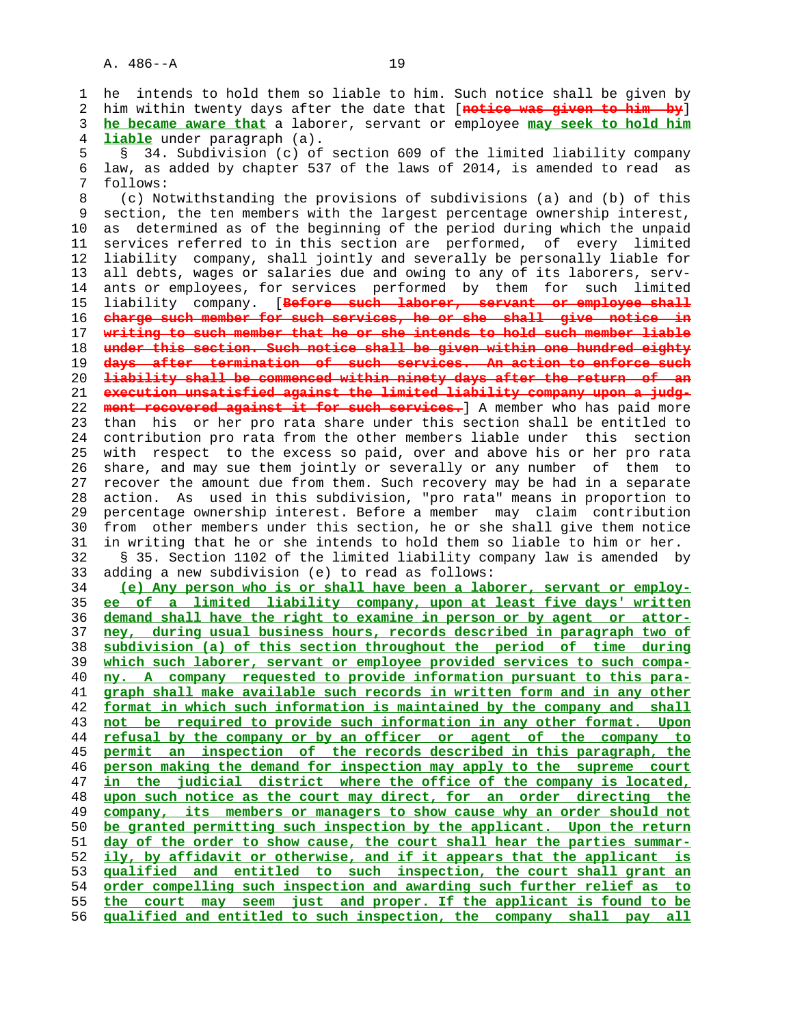1 he intends to hold them so liable to him. Such notice shall be given by 2 him within twenty days after the date that [**notice was given to him by**] 3 **he became aware that** a laborer, servant or employee **may seek to hold him** 4 **liable** under paragraph (a). 5 § 34. Subdivision (c) of section 609 of the limited liability company 6 law, as added by chapter 537 of the laws of 2014, is amended to read as 7 follows: 8 (c) Notwithstanding the provisions of subdivisions (a) and (b) of this<br>9 section, the ten members with the largest percentage ownership interest, section, the ten members with the largest percentage ownership interest, 10 as determined as of the beginning of the period during which the unpaid 11 services referred to in this section are performed, of every limited 12 liability company, shall jointly and severally be personally liable for 13 all debts, wages or salaries due and owing to any of its laborers, serv- 14 ants or employees, for services performed by them for such limited 15 liability company. [**Before such laborer, servant or employee shall** 16 **charge such member for such services, he or she shall give notice in** 17 **writing to such member that he or she intends to hold such member liable** 18 **under this section. Such notice shall be given within one hundred eighty** 19 **days after termination of such services. An action to enforce such** 20 **liability shall be commenced within ninety days after the return of an** 21 **execution unsatisfied against the limited liability company upon a judg-** 22 **ment recovered against it for such services.**] A member who has paid more 23 than his or her pro rata share under this section shall be entitled to 24 contribution pro rata from the other members liable under this section 25 with respect to the excess so paid, over and above his or her pro rata 26 share, and may sue them jointly or severally or any number of them to 27 recover the amount due from them. Such recovery may be had in a separate 28 action. As used in this subdivision, "pro rata" means in proportion to 29 percentage ownership interest. Before a member may claim contribution 30 from other members under this section, he or she shall give them notice 31 in writing that he or she intends to hold them so liable to him or her. 32 § 35. Section 1102 of the limited liability company law is amended by 33 adding a new subdivision (e) to read as follows: 34 **(e) Any person who is or shall have been a laborer, servant or employ-** 35 **ee of a limited liability company, upon at least five days' written** 36 **demand shall have the right to examine in person or by agent or attor-** 37 **ney, during usual business hours, records described in paragraph two of** 38 **subdivision (a) of this section throughout the period of time during** 39 **which such laborer, servant or employee provided services to such compa-** 40 **ny. A company requested to provide information pursuant to this para-** 41 **graph shall make available such records in written form and in any other** 42 **format in which such information is maintained by the company and shall** 43 **not be required to provide such information in any other format. Upon** 44 **refusal by the company or by an officer or agent of the company to** 45 **permit an inspection of the records described in this paragraph, the**

**person making the demand for inspection may apply to the supreme court in the judicial district where the office of the company is located, upon such notice as the court may direct, for an order directing the company, its members or managers to show cause why an order should not be granted permitting such inspection by the applicant. Upon the return day of the order to show cause, the court shall hear the parties summar- ily, by affidavit or otherwise, and if it appears that the applicant is qualified and entitled to such inspection, the court shall grant an order compelling such inspection and awarding such further relief as to the court may seem just and proper. If the applicant is found to be qualified and entitled to such inspection, the company shall pay all**